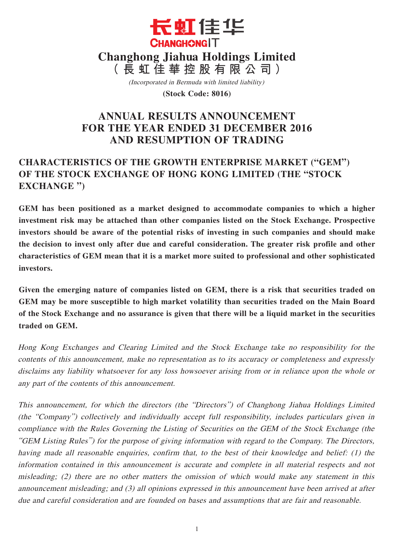

(Incorporated in Bermuda with limited liability)

**(Stock Code: 8016)**

# **ANNUAL RESULTS ANNOUNCEMENT FOR THE YEAR ENDED 31 DECEMBER 2016 AND RESUMPTION OF TRADING**

# **CHARACTERISTICS OF THE GROWTH ENTERPRISE MARKET ("GEM") OF THE STOCK EXCHANGE OF HONG KONG LIMITED (THE "STOCK EXCHANGE ")**

**GEM has been positioned as a market designed to accommodate companies to which a higher investment risk may be attached than other companies listed on the Stock Exchange. Prospective investors should be aware of the potential risks of investing in such companies and should make the decision to invest only after due and careful consideration. The greater risk profile and other characteristics of GEM mean that it is a market more suited to professional and other sophisticated investors.**

**Given the emerging nature of companies listed on GEM, there is a risk that securities traded on GEM may be more susceptible to high market volatility than securities traded on the Main Board of the Stock Exchange and no assurance is given that there will be a liquid market in the securities traded on GEM.**

Hong Kong Exchanges and Clearing Limited and the Stock Exchange take no responsibility for the contents of this announcement, make no representation as to its accuracy or completeness and expressly disclaims any liability whatsoever for any loss howsoever arising from or in reliance upon the whole or any part of the contents of this announcement.

This announcement, for which the directors (the "Directors") of Changhong Jiahua Holdings Limited (the "Company") collectively and individually accept full responsibility, includes particulars given in compliance with the Rules Governing the Listing of Securities on the GEM of the Stock Exchange (the "GEM Listing Rules") for the purpose of giving information with regard to the Company. The Directors, having made all reasonable enquiries, confirm that, to the best of their knowledge and belief: (1) the information contained in this announcement is accurate and complete in all material respects and not misleading; (2) there are no other matters the omission of which would make any statement in this announcement misleading; and (3) all opinions expressed in this announcement have been arrived at after due and careful consideration and are founded on bases and assumptions that are fair and reasonable.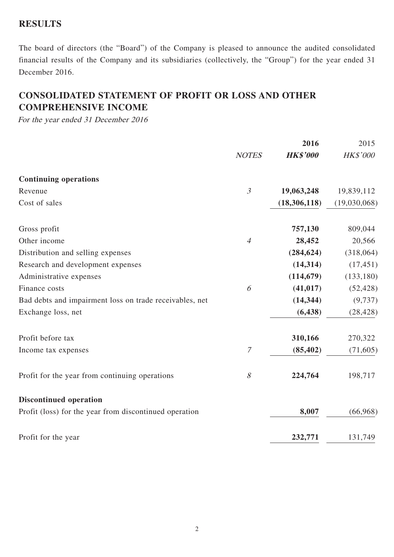# **RESULTS**

The board of directors (the "Board") of the Company is pleased to announce the audited consolidated financial results of the Company and its subsidiaries (collectively, the "Group") for the year ended 31 December 2016.

# **CONSOLIDATED STATEMENT OF PROFIT OR LOSS AND OTHER COMPREHENSIVE INCOME**

For the year ended 31 December 2016

|                                                         |                  | 2016            | 2015         |
|---------------------------------------------------------|------------------|-----------------|--------------|
|                                                         | <b>NOTES</b>     | <b>HK\$'000</b> | HK\$'000     |
| <b>Continuing operations</b>                            |                  |                 |              |
| Revenue                                                 | $\mathfrak{Z}$   | 19,063,248      | 19,839,112   |
| Cost of sales                                           |                  | (18, 306, 118)  | (19,030,068) |
| Gross profit                                            |                  | 757,130         | 809,044      |
| Other income                                            | $\overline{4}$   | 28,452          | 20,566       |
| Distribution and selling expenses                       |                  | (284, 624)      | (318,064)    |
| Research and development expenses                       |                  | (14, 314)       | (17, 451)    |
| Administrative expenses                                 |                  | (114, 679)      | (133, 180)   |
| Finance costs                                           | 6                | (41, 017)       | (52, 428)    |
| Bad debts and impairment loss on trade receivables, net |                  | (14, 344)       | (9, 737)     |
| Exchange loss, net                                      |                  | (6, 438)        | (28, 428)    |
| Profit before tax                                       |                  | 310,166         | 270,322      |
| Income tax expenses                                     | $\boldsymbol{7}$ | (85, 402)       | (71, 605)    |
| Profit for the year from continuing operations          | $\mathcal S$     | 224,764         | 198,717      |
| <b>Discontinued operation</b>                           |                  |                 |              |
| Profit (loss) for the year from discontinued operation  |                  | 8,007           | (66,968)     |
| Profit for the year                                     |                  | 232,771         | 131,749      |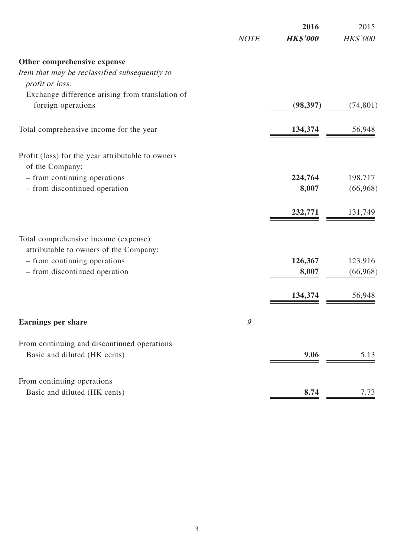|                                                                       | <b>NOTE</b> | 2016<br><b>HK\$'000</b> | 2015<br>HK\$'000 |
|-----------------------------------------------------------------------|-------------|-------------------------|------------------|
|                                                                       |             |                         |                  |
| Other comprehensive expense                                           |             |                         |                  |
| Item that may be reclassified subsequently to                         |             |                         |                  |
| profit or loss:                                                       |             |                         |                  |
| Exchange difference arising from translation of<br>foreign operations |             | (98, 397)               | (74, 801)        |
|                                                                       |             |                         |                  |
| Total comprehensive income for the year                               |             | 134,374                 | 56,948           |
| Profit (loss) for the year attributable to owners                     |             |                         |                  |
| of the Company:                                                       |             |                         |                  |
| - from continuing operations                                          |             | 224,764                 | 198,717          |
| - from discontinued operation                                         |             | 8,007                   | (66,968)         |
|                                                                       |             | 232,771                 | 131,749          |
| Total comprehensive income (expense)                                  |             |                         |                  |
| attributable to owners of the Company:                                |             |                         |                  |
| - from continuing operations                                          |             | 126,367                 | 123,916          |
| - from discontinued operation                                         |             | 8,007                   | (66,968)         |
|                                                                       |             | 134,374                 | 56,948           |
| <b>Earnings per share</b>                                             | 9           |                         |                  |
|                                                                       |             |                         |                  |
| From continuing and discontinued operations                           |             |                         |                  |
| Basic and diluted (HK cents)                                          |             | 9.06                    | 5.13             |
| From continuing operations                                            |             |                         |                  |
| Basic and diluted (HK cents)                                          |             | 8.74                    | 7.73             |
|                                                                       |             |                         |                  |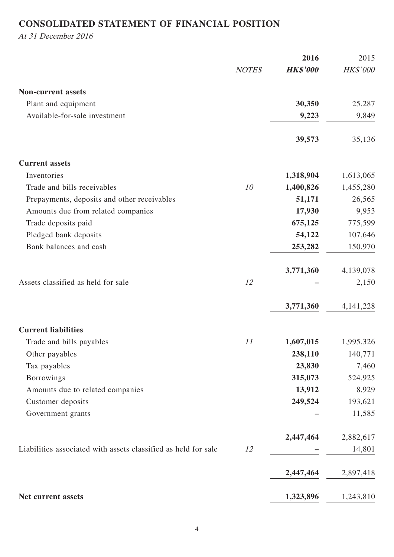# **CONSOLIDATED STATEMENT OF FINANCIAL POSITION**

At 31 December 2016

|                                                                |              | 2016            | 2015        |
|----------------------------------------------------------------|--------------|-----------------|-------------|
|                                                                | <b>NOTES</b> | <b>HK\$'000</b> | HK\$'000    |
| <b>Non-current assets</b>                                      |              |                 |             |
| Plant and equipment                                            |              | 30,350          | 25,287      |
| Available-for-sale investment                                  |              | 9,223           | 9,849       |
|                                                                |              | 39,573          | 35,136      |
| <b>Current assets</b>                                          |              |                 |             |
| Inventories                                                    |              | 1,318,904       | 1,613,065   |
| Trade and bills receivables                                    | 10           | 1,400,826       | 1,455,280   |
| Prepayments, deposits and other receivables                    |              | 51,171          | 26,565      |
| Amounts due from related companies                             |              | 17,930          | 9,953       |
| Trade deposits paid                                            |              | 675,125         | 775,599     |
| Pledged bank deposits                                          |              | 54,122          | 107,646     |
| Bank balances and cash                                         |              | 253,282         | 150,970     |
|                                                                |              | 3,771,360       | 4,139,078   |
| Assets classified as held for sale                             | 12           |                 | 2,150       |
|                                                                |              | 3,771,360       | 4, 141, 228 |
| <b>Current liabilities</b>                                     |              |                 |             |
| Trade and bills payables                                       | 11           | 1,607,015       | 1,995,326   |
| Other payables                                                 |              | 238,110         | 140,771     |
| Tax payables                                                   |              | 23,830          | 7,460       |
| <b>Borrowings</b>                                              |              | 315,073         | 524,925     |
| Amounts due to related companies                               |              | 13,912          | 8,929       |
| Customer deposits                                              |              | 249,524         | 193,621     |
| Government grants                                              |              |                 | 11,585      |
|                                                                |              | 2,447,464       | 2,882,617   |
| Liabilities associated with assets classified as held for sale | 12           |                 | 14,801      |
|                                                                |              | 2,447,464       | 2,897,418   |
| Net current assets                                             |              | 1,323,896       | 1,243,810   |
|                                                                |              |                 |             |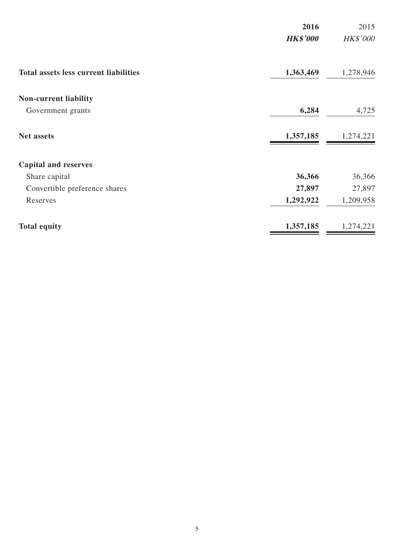|                                              | 2016<br><b>HK\$'000</b> | 2015<br>HK\$'000 |
|----------------------------------------------|-------------------------|------------------|
|                                              |                         |                  |
| <b>Total assets less current liabilities</b> | 1,363,469               | 1,278,946        |
| <b>Non-current liability</b>                 |                         |                  |
| Government grants                            | 6,284                   | 4,725            |
| <b>Net assets</b>                            | 1,357,185               | 1,274,221        |
| <b>Capital and reserves</b>                  |                         |                  |
| Share capital                                | 36,366                  | 36,366           |
| Convertible preference shares                | 27,897                  | 27,897           |
| Reserves                                     | 1,292,922               | 1,209,958        |
| <b>Total equity</b>                          | 1,357,185               | 1,274,221        |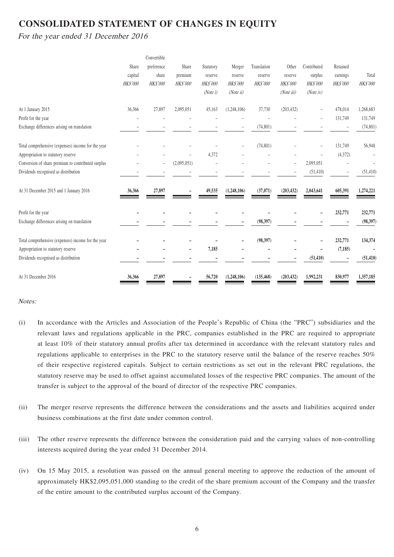# **CONSOLIDATED STATEMENT OF CHANGES IN EQUITY**

For the year ended 31 December 2016

|                                                    |                 | Convertible              |                 |                 |                 |                 |                 |                 |           |                 |
|----------------------------------------------------|-----------------|--------------------------|-----------------|-----------------|-----------------|-----------------|-----------------|-----------------|-----------|-----------------|
|                                                    | Share           | preference               | Share           | Statutory       | Merger          | Translation     | Other           | Contributed     | Retained  |                 |
|                                                    | capital         | share                    | premium         | reserve         | reserve         | reserve         | reserve         | surplus         | earnings  | Total           |
|                                                    | <b>HK\$'000</b> | HK\$'000                 | <b>HK\$'000</b> | <b>HK\$'000</b> | <b>HK\$'000</b> | <b>HK\$'000</b> | <b>HK\$'000</b> | <b>HK\$'000</b> | HK\$'000  | <b>HK\$'000</b> |
|                                                    |                 |                          |                 | (Note 1)        | (Noteii)        |                 | (Noteiii)       | $(Note$ iv)     |           |                 |
| At 1 January 2015                                  | 36,366          | 27,897                   | 2,095,051       | 45,163          | (1,248,106)     | 37,730          | (203, 432)      |                 | 478,014   | 1,268,683       |
| Profit for the year                                |                 |                          |                 |                 |                 |                 |                 |                 | 131,749   | 131,749         |
| Exchange differences arising on translation        |                 |                          |                 |                 |                 | (74, 801)       |                 |                 |           | (74, 801)       |
| Total comprehensive (expenses) income for the year |                 |                          |                 |                 |                 | (74, 801)       |                 |                 | 131,749   | 56,948          |
| Appropriation to statutory reserve                 |                 |                          |                 | 4,372           |                 |                 |                 |                 | (4,372)   |                 |
| Conversion of share premium to contributed surplus |                 | $\overline{\phantom{0}}$ | (2,095,051)     |                 |                 |                 |                 | 2,095,051       |           |                 |
| Dividends recognised as distribution               |                 |                          |                 |                 |                 |                 |                 | (51, 410)       | $\bar{ }$ | (51, 410)       |
| At 31 December 2015 and 1 January 2016             | 36,366          | 27,897                   |                 | 49,535          | (1,248,106)     | (37,071)        | (203, 432)      | 2,043,641       | 605,391   | 1,274,221       |
| Profit for the year                                |                 |                          |                 |                 |                 |                 |                 |                 | 232,771   | 232,771         |
| Exchange differences arising on translation        |                 |                          |                 |                 |                 | (98, 397)       |                 |                 |           | (98, 397)       |
| Total comprehensive (expenses) income for the year |                 |                          |                 |                 |                 | (98, 397)       |                 |                 | 232,771   | 134,374         |
| Appropriation to statutory reserve                 |                 |                          |                 | 7,185           |                 |                 |                 |                 | (7, 185)  |                 |
| Dividends recognised as distribution               |                 |                          |                 |                 |                 |                 |                 | (51, 410)       |           | (51, 410)       |
| At 31 December 2016                                | 36,366          | 27,897                   |                 | 56,720          | (1,248,106)     | (135, 468)      | (203, 432)      | 1,992,231       | 830,977   | 1,357,185       |

#### Notes:

- (i) In accordance with the Articles and Association of the People's Republic of China (the "PRC") subsidiaries and the relevant laws and regulations applicable in the PRC, companies established in the PRC are required to appropriate at least 10% of their statutory annual profits after tax determined in accordance with the relevant statutory rules and regulations applicable to enterprises in the PRC to the statutory reserve until the balance of the reserve reaches 50% of their respective registered capitals. Subject to certain restrictions as set out in the relevant PRC regulations, the statutory reserve may be used to offset against accumulated losses of the respective PRC companies. The amount of the transfer is subject to the approval of the board of director of the respective PRC companies.
- (ii) The merger reserve represents the difference between the considerations and the assets and liabilities acquired under business combinations at the first date under common control.
- (iii) The other reserve represents the difference between the consideration paid and the carrying values of non-controlling interests acquired during the year ended 31 December 2014.
- (iv) On 15 May 2015, a resolution was passed on the annual general meeting to approve the reduction of the amount of approximately HK\$2,095,051,000 standing to the credit of the share premium account of the Company and the transfer of the entire amount to the contributed surplus account of the Company.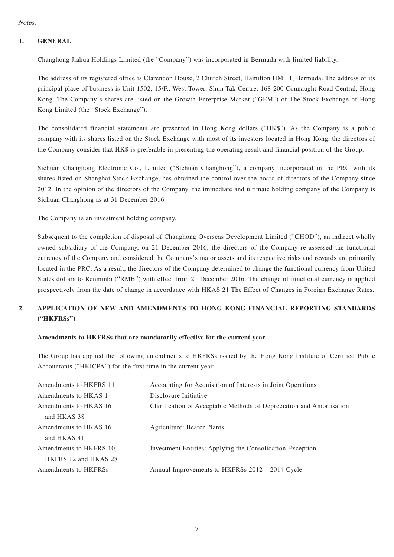### **1. GENERAL**

Changhong Jiahua Holdings Limited (the "Company") was incorporated in Bermuda with limited liability.

The address of its registered office is Clarendon House, 2 Church Street, Hamilton HM 11, Bermuda. The address of its principal place of business is Unit 1502, 15/F., West Tower, Shun Tak Centre, 168-200 Connaught Road Central, Hong Kong. The Company's shares are listed on the Growth Enterprise Market ("GEM") of The Stock Exchange of Hong Kong Limited (the "Stock Exchange").

The consolidated financial statements are presented in Hong Kong dollars ("HK\$"). As the Company is a public company with its shares listed on the Stock Exchange with most of its investors located in Hong Kong, the directors of the Company consider that HK\$ is preferable in presenting the operating result and financial position of the Group.

Sichuan Changhong Electronic Co., Limited ("Sichuan Changhong"), a company incorporated in the PRC with its shares listed on Shanghai Stock Exchange, has obtained the control over the board of directors of the Company since 2012. In the opinion of the directors of the Company, the immediate and ultimate holding company of the Company is Sichuan Changhong as at 31 December 2016.

The Company is an investment holding company.

Subsequent to the completion of disposal of Changhong Overseas Development Limited ("CHOD"), an indirect wholly owned subsidiary of the Company, on 21 December 2016, the directors of the Company re-assessed the functional currency of the Company and considered the Company's major assets and its respective risks and rewards are primarily located in the PRC. As a result, the directors of the Company determined to change the functional currency from United States dollars to Renminbi ("RMB") with effect from 21 December 2016. The change of functional currency is applied prospectively from the date of change in accordance with HKAS 21 The Effect of Changes in Foreign Exchange Rates.

### **2. APPLICATION OF NEW AND AMENDMENTS TO HONG KONG FINANCIAL REPORTING STANDARDS ("HKFRSs")**

### **Amendments to HKFRSs that are mandatorily effective for the current year**

The Group has applied the following amendments to HKFRSs issued by the Hong Kong Institute of Certified Public Accountants ("HKICPA") for the first time in the current year:

| Accounting for Acquisition of Interests in Joint Operations          |
|----------------------------------------------------------------------|
| Disclosure Initiative                                                |
| Clarification of Acceptable Methods of Depreciation and Amortisation |
|                                                                      |
| Agriculture: Bearer Plants                                           |
|                                                                      |
| Investment Entities: Applying the Consolidation Exception            |
|                                                                      |
| Annual Improvements to HKFRSs 2012 - 2014 Cycle                      |
|                                                                      |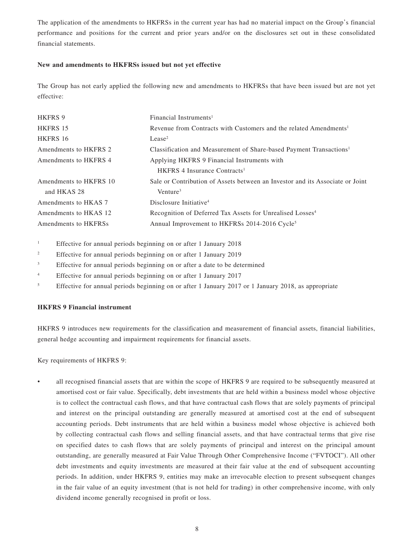The application of the amendments to HKFRSs in the current year has had no material impact on the Group's financial performance and positions for the current and prior years and/or on the disclosures set out in these consolidated financial statements.

#### **New and amendments to HKFRSs issued but not yet effective**

The Group has not early applied the following new and amendments to HKFRSs that have been issued but are not yet effective:

| <b>HKFRS 9</b>         | Financial Instruments <sup>1</sup>                                              |
|------------------------|---------------------------------------------------------------------------------|
| HKFRS 15               | Revenue from Contracts with Customers and the related Amendments <sup>1</sup>   |
| HKFRS 16               | Lense <sup>2</sup>                                                              |
| Amendments to HKFRS 2  | Classification and Measurement of Share-based Payment Transactions <sup>1</sup> |
| Amendments to HKFRS 4  | Applying HKFRS 9 Financial Instruments with                                     |
|                        | HKFRS 4 Insurance Contracts <sup>1</sup>                                        |
| Amendments to HKFRS 10 | Sale or Contribution of Assets between an Investor and its Associate or Joint   |
| and HKAS 28            | Venture <sup>3</sup>                                                            |
| Amendments to HKAS 7   | Disclosure Initiative <sup>4</sup>                                              |
| Amendments to HKAS 12  | Recognition of Deferred Tax Assets for Unrealised Losses <sup>4</sup>           |
| Amendments to HKFRSs   | Annual Improvement to HKFRSs 2014-2016 Cycle <sup>5</sup>                       |

1 Effective for annual periods beginning on or after 1 January 2018

- 2 Effective for annual periods beginning on or after 1 January 2019
- 3 Effective for annual periods beginning on or after a date to be determined
- 4 Effective for annual periods beginning on or after 1 January 2017
- 5 Effective for annual periods beginning on or after 1 January 2017 or 1 January 2018, as appropriate

#### **HKFRS 9 Financial instrument**

HKFRS 9 introduces new requirements for the classification and measurement of financial assets, financial liabilities, general hedge accounting and impairment requirements for financial assets.

Key requirements of HKFRS 9:

• all recognised financial assets that are within the scope of HKFRS 9 are required to be subsequently measured at amortised cost or fair value. Specifically, debt investments that are held within a business model whose objective is to collect the contractual cash flows, and that have contractual cash flows that are solely payments of principal and interest on the principal outstanding are generally measured at amortised cost at the end of subsequent accounting periods. Debt instruments that are held within a business model whose objective is achieved both by collecting contractual cash flows and selling financial assets, and that have contractual terms that give rise on specified dates to cash flows that are solely payments of principal and interest on the principal amount outstanding, are generally measured at Fair Value Through Other Comprehensive Income ("FVTOCI"). All other debt investments and equity investments are measured at their fair value at the end of subsequent accounting periods. In addition, under HKFRS 9, entities may make an irrevocable election to present subsequent changes in the fair value of an equity investment (that is not held for trading) in other comprehensive income, with only dividend income generally recognised in profit or loss.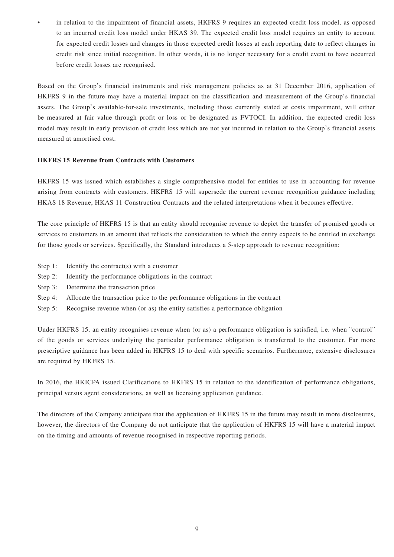in relation to the impairment of financial assets, HKFRS 9 requires an expected credit loss model, as opposed to an incurred credit loss model under HKAS 39. The expected credit loss model requires an entity to account for expected credit losses and changes in those expected credit losses at each reporting date to reflect changes in credit risk since initial recognition. In other words, it is no longer necessary for a credit event to have occurred before credit losses are recognised.

Based on the Group's financial instruments and risk management policies as at 31 December 2016, application of HKFRS 9 in the future may have a material impact on the classification and measurement of the Group's financial assets. The Group's available-for-sale investments, including those currently stated at costs impairment, will either be measured at fair value through profit or loss or be designated as FVTOCI. In addition, the expected credit loss model may result in early provision of credit loss which are not yet incurred in relation to the Group's financial assets measured at amortised cost.

#### **HKFRS 15 Revenue from Contracts with Customers**

HKFRS 15 was issued which establishes a single comprehensive model for entities to use in accounting for revenue arising from contracts with customers. HKFRS 15 will supersede the current revenue recognition guidance including HKAS 18 Revenue, HKAS 11 Construction Contracts and the related interpretations when it becomes effective.

The core principle of HKFRS 15 is that an entity should recognise revenue to depict the transfer of promised goods or services to customers in an amount that reflects the consideration to which the entity expects to be entitled in exchange for those goods or services. Specifically, the Standard introduces a 5-step approach to revenue recognition:

- Step 1: Identify the contract(s) with a customer
- Step 2: Identify the performance obligations in the contract
- Step 3: Determine the transaction price
- Step 4: Allocate the transaction price to the performance obligations in the contract
- Step 5: Recognise revenue when (or as) the entity satisfies a performance obligation

Under HKFRS 15, an entity recognises revenue when (or as) a performance obligation is satisfied, i.e. when "control" of the goods or services underlying the particular performance obligation is transferred to the customer. Far more prescriptive guidance has been added in HKFRS 15 to deal with specific scenarios. Furthermore, extensive disclosures are required by HKFRS 15.

In 2016, the HKICPA issued Clarifications to HKFRS 15 in relation to the identification of performance obligations, principal versus agent considerations, as well as licensing application guidance.

The directors of the Company anticipate that the application of HKFRS 15 in the future may result in more disclosures, however, the directors of the Company do not anticipate that the application of HKFRS 15 will have a material impact on the timing and amounts of revenue recognised in respective reporting periods.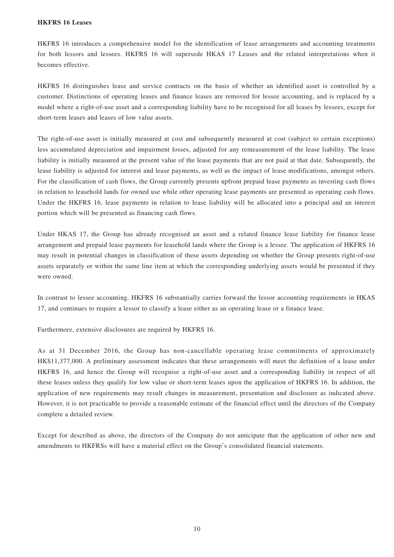#### **HKFRS 16 Leases**

HKFRS 16 introduces a comprehensive model for the identification of lease arrangements and accounting treatments for both lessors and lessees. HKFRS 16 will supersede HKAS 17 Leases and the related interpretations when it becomes effective.

HKFRS 16 distinguishes lease and service contracts on the basis of whether an identified asset is controlled by a customer. Distinctions of operating leases and finance leases are removed for lessee accounting, and is replaced by a model where a right-of-use asset and a corresponding liability have to be recognised for all leases by lessees, except for short-term leases and leases of low value assets.

The right-of-use asset is initially measured at cost and subsequently measured at cost (subject to certain exceptions) less accumulated depreciation and impairment losses, adjusted for any remeasurement of the lease liability. The lease liability is initially measured at the present value of the lease payments that are not paid at that date. Subsequently, the lease liability is adjusted for interest and lease payments, as well as the impact of lease modifications, amongst others. For the classification of cash flows, the Group currently presents upfront prepaid lease payments as investing cash flows in relation to leasehold lands for owned use while other operating lease payments are presented as operating cash flows. Under the HKFRS 16, lease payments in relation to lease liability will be allocated into a principal and an interest portion which will be presented as financing cash flows.

Under HKAS 17, the Group has already recognised an asset and a related finance lease liability for finance lease arrangement and prepaid lease payments for leasehold lands where the Group is a lessee. The application of HKFRS 16 may result in potential changes in classification of these assets depending on whether the Group presents right-of-use assets separately or within the same line item at which the corresponding underlying assets would be presented if they were owned.

In contrast to lessee accounting, HKFRS 16 substantially carries forward the lessor accounting requirements in HKAS 17, and continues to require a lessor to classify a lease either as an operating lease or a finance lease.

Furthermore, extensive disclosures are required by HKFRS 16.

As at 31 December 2016, the Group has non-cancellable operating lease commitments of approximately HK\$11,377,000. A preliminary assessment indicates that these arrangements will meet the definition of a lease under HKFRS 16, and hence the Group will recognise a right-of-use asset and a corresponding liability in respect of all these leases unless they qualify for low value or short-term leases upon the application of HKFRS 16. In addition, the application of new requirements may result changes in measurement, presentation and disclosure as indicated above. However, it is not practicable to provide a reasonable estimate of the financial effect until the directors of the Company complete a detailed review.

Except for described as above, the directors of the Company do not anticipate that the application of other new and amendments to HKFRSs will have a material effect on the Group's consolidated financial statements.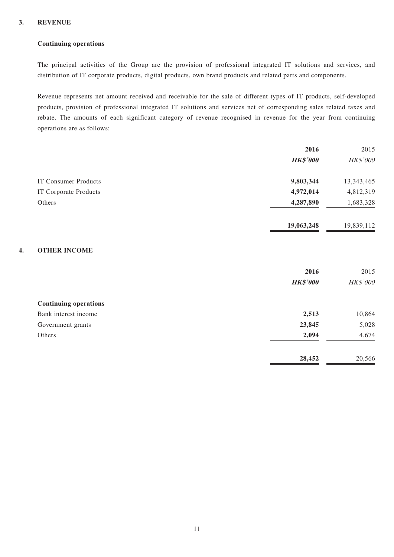### **3. REVENUE**

### **Continuing operations**

The principal activities of the Group are the provision of professional integrated IT solutions and services, and distribution of IT corporate products, digital products, own brand products and related parts and components.

Revenue represents net amount received and receivable for the sale of different types of IT products, self-developed products, provision of professional integrated IT solutions and services net of corresponding sales related taxes and rebate. The amounts of each significant category of revenue recognised in revenue for the year from continuing operations are as follows:

|                 | 2015       |
|-----------------|------------|
| <b>HK\$'000</b> | HK\$'000   |
| 9,803,344       | 13,343,465 |
| 4,972,014       | 4,812,319  |
| 4,287,890       | 1,683,328  |
| 19,063,248      | 19,839,112 |
|                 |            |
| 2016            | 2015       |
| <b>HK\$'000</b> | HK\$'000   |
|                 |            |
| 2,513           | 10,864     |
| 23,845          | 5,028      |
| 2,094           | 4,674      |
| 28,452          | 20,566     |
|                 | 2016       |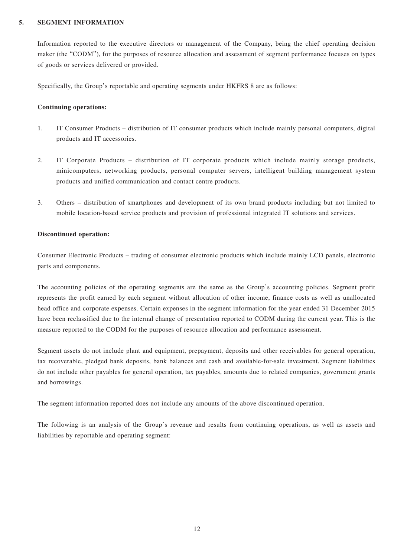#### **5. SEGMENT INFORMATION**

Information reported to the executive directors or management of the Company, being the chief operating decision maker (the "CODM"), for the purposes of resource allocation and assessment of segment performance focuses on types of goods or services delivered or provided.

Specifically, the Group's reportable and operating segments under HKFRS 8 are as follows:

#### **Continuing operations:**

- 1. IT Consumer Products distribution of IT consumer products which include mainly personal computers, digital products and IT accessories.
- 2. IT Corporate Products distribution of IT corporate products which include mainly storage products, minicomputers, networking products, personal computer servers, intelligent building management system products and unified communication and contact centre products.
- 3. Others distribution of smartphones and development of its own brand products including but not limited to mobile location-based service products and provision of professional integrated IT solutions and services.

#### **Discontinued operation:**

Consumer Electronic Products – trading of consumer electronic products which include mainly LCD panels, electronic parts and components.

The accounting policies of the operating segments are the same as the Group's accounting policies. Segment profit represents the profit earned by each segment without allocation of other income, finance costs as well as unallocated head office and corporate expenses. Certain expenses in the segment information for the year ended 31 December 2015 have been reclassified due to the internal change of presentation reported to CODM during the current year. This is the measure reported to the CODM for the purposes of resource allocation and performance assessment.

Segment assets do not include plant and equipment, prepayment, deposits and other receivables for general operation, tax recoverable, pledged bank deposits, bank balances and cash and available-for-sale investment. Segment liabilities do not include other payables for general operation, tax payables, amounts due to related companies, government grants and borrowings.

The segment information reported does not include any amounts of the above discontinued operation.

The following is an analysis of the Group's revenue and results from continuing operations, as well as assets and liabilities by reportable and operating segment: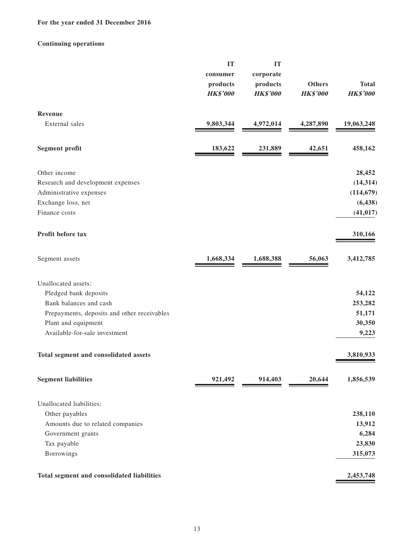### **For the year ended 31 December 2016**

### **Continuing operations**

|                                             | IT              | IT              |                 |                 |
|---------------------------------------------|-----------------|-----------------|-----------------|-----------------|
|                                             | consumer        | corporate       |                 |                 |
|                                             | products        | products        | <b>Others</b>   | <b>Total</b>    |
|                                             | <b>HK\$'000</b> | <b>HK\$'000</b> | <b>HK\$'000</b> | <b>HK\$'000</b> |
| Revenue                                     |                 |                 |                 |                 |
| External sales                              | 9,803,344       | 4,972,014       | 4,287,890       | 19,063,248      |
| <b>Segment profit</b>                       | 183,622         | 231,889         | 42,651          | 458,162         |
| Other income                                |                 |                 |                 | 28,452          |
| Research and development expenses           |                 |                 |                 | (14, 314)       |
| Administrative expenses                     |                 |                 |                 | (114, 679)      |
| Exchange loss, net                          |                 |                 |                 | (6, 438)        |
| Finance costs                               |                 |                 |                 | (41, 017)       |
| Profit before tax                           |                 |                 |                 | 310,166         |
| Segment assets                              | 1,668,334       | 1,688,388       | 56,063          | 3,412,785       |
| Unallocated assets:                         |                 |                 |                 |                 |
| Pledged bank deposits                       |                 |                 |                 | 54,122          |
| Bank balances and cash                      |                 |                 |                 | 253,282         |
| Prepayments, deposits and other receivables |                 |                 |                 | 51,171          |
| Plant and equipment                         |                 |                 |                 | 30,350          |
| Available-for-sale investment               |                 |                 |                 | 9,223           |
| Total segment and consolidated assets       |                 |                 |                 | 3,810,933       |
| <b>Segment liabilities</b>                  | 921,492         | 914,403         | 20,644          | 1,856,539       |
| Unallocated liabilities:                    |                 |                 |                 |                 |
| Other payables                              |                 |                 |                 | 238,110         |
| Amounts due to related companies            |                 |                 |                 | 13,912          |
| Government grants                           |                 |                 |                 | 6,284           |
| Tax payable                                 |                 |                 |                 | 23,830          |
| Borrowings                                  |                 |                 |                 | 315,073         |
| Total segment and consolidated liabilities  |                 |                 |                 | 2,453,748       |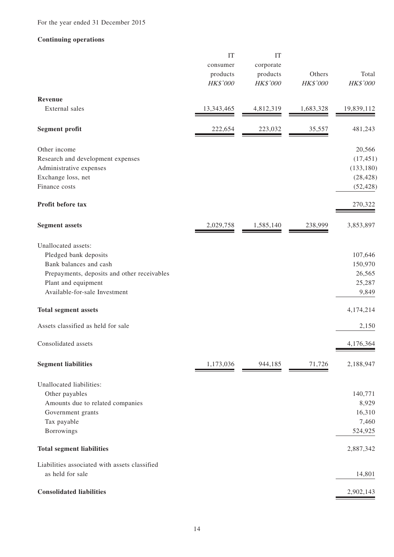#### **Continuing operations**

|                                                      | IT<br>consumer<br>products | IT<br>corporate<br>products | Others    | Total           |
|------------------------------------------------------|----------------------------|-----------------------------|-----------|-----------------|
|                                                      | <b>HK\$'000</b>            | HK\$'000                    | HK\$'000  | HK\$'000        |
| Revenue                                              |                            |                             |           |                 |
| External sales                                       | 13, 343, 465               | 4,812,319                   | 1,683,328 | 19,839,112      |
| <b>Segment profit</b>                                | 222,654                    | 223,032                     | 35,557    | 481,243         |
| Other income                                         |                            |                             |           | 20,566          |
| Research and development expenses                    |                            |                             |           | (17, 451)       |
| Administrative expenses                              |                            |                             |           | (133, 180)      |
| Exchange loss, net                                   |                            |                             |           | (28, 428)       |
| Finance costs                                        |                            |                             |           | (52, 428)       |
| Profit before tax                                    |                            |                             |           | 270,322         |
| <b>Segment assets</b>                                | 2,029,758                  | 1,585,140                   | 238,999   | 3,853,897       |
| Unallocated assets:                                  |                            |                             |           |                 |
| Pledged bank deposits                                |                            |                             |           | 107,646         |
| Bank balances and cash                               |                            |                             |           | 150,970         |
| Prepayments, deposits and other receivables          |                            |                             |           | 26,565          |
| Plant and equipment<br>Available-for-sale Investment |                            |                             |           | 25,287<br>9,849 |
|                                                      |                            |                             |           |                 |
| <b>Total segment assets</b>                          |                            |                             |           | 4,174,214       |
| Assets classified as held for sale                   |                            |                             |           | 2,150           |
| Consolidated assets                                  |                            |                             |           | 4,176,364       |
| <b>Segment liabilities</b>                           | 1,173,036                  | 944,185                     | 71,726    | 2,188,947       |
| Unallocated liabilities:                             |                            |                             |           |                 |
| Other payables                                       |                            |                             |           | 140,771         |
| Amounts due to related companies                     |                            |                             |           | 8,929           |
| Government grants                                    |                            |                             |           | 16,310          |
| Tax payable                                          |                            |                             |           | 7,460           |
| Borrowings                                           |                            |                             |           | 524,925         |
| <b>Total segment liabilities</b>                     |                            |                             |           | 2,887,342       |
| Liabilities associated with assets classified        |                            |                             |           |                 |
| as held for sale                                     |                            |                             |           | 14,801          |
| <b>Consolidated liabilities</b>                      |                            |                             |           | 2,902,143       |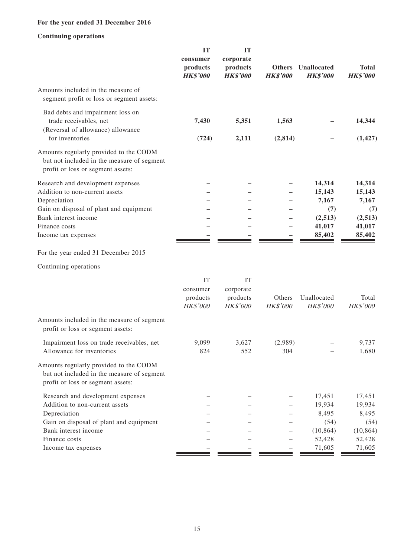### **For the year ended 31 December 2016**

### **Continuing operations**

|                                                                                                                                                                                                | IT<br>consumer<br>products<br><b>HK\$'000</b> | <b>IT</b><br>corporate<br>products<br><b>HK\$'000</b> | <b>Others</b><br><b>HK\$'000</b> | Unallocated<br><b>HK\$'000</b>                                  | <b>Total</b><br><b>HK\$'000</b>                                 |
|------------------------------------------------------------------------------------------------------------------------------------------------------------------------------------------------|-----------------------------------------------|-------------------------------------------------------|----------------------------------|-----------------------------------------------------------------|-----------------------------------------------------------------|
| Amounts included in the measure of<br>segment profit or loss or segment assets:                                                                                                                |                                               |                                                       |                                  |                                                                 |                                                                 |
| Bad debts and impairment loss on<br>trade receivables, net<br>(Reversal of allowance) allowance                                                                                                | 7,430                                         | 5,351                                                 | 1,563                            |                                                                 | 14,344                                                          |
| for inventories<br>Amounts regularly provided to the CODM<br>but not included in the measure of segment<br>profit or loss or segment assets:                                                   | (724)                                         | 2,111                                                 | (2,814)                          |                                                                 | (1, 427)                                                        |
| Research and development expenses<br>Addition to non-current assets<br>Depreciation<br>Gain on disposal of plant and equipment<br>Bank interest income<br>Finance costs<br>Income tax expenses |                                               |                                                       |                                  | 14,314<br>15,143<br>7,167<br>(7)<br>(2,513)<br>41,017<br>85,402 | 14,314<br>15,143<br>7,167<br>(7)<br>(2,513)<br>41,017<br>85,402 |
| For the year ended 31 December 2015                                                                                                                                                            |                                               |                                                       |                                  |                                                                 |                                                                 |
| Continuing operations                                                                                                                                                                          |                                               |                                                       |                                  |                                                                 |                                                                 |
|                                                                                                                                                                                                | IT<br>consumer<br>products<br><b>HK\$'000</b> | IT<br>corporate<br>products<br>HK\$'000               | Others<br>HK\$'000               | Unallocated<br>HK\$'000                                         | Total<br>HK\$'000                                               |
| Amounts included in the measure of segment<br>profit or loss or segment assets:                                                                                                                |                                               |                                                       |                                  |                                                                 |                                                                 |
| Impairment loss on trade receivables, net<br>Allowance for inventories                                                                                                                         | 9,099<br>824                                  | 3,627<br>552                                          | (2,989)<br>304                   |                                                                 | 9,737<br>1,680                                                  |
| Amounts regularly provided to the CODM<br>but not included in the measure of segment<br>profit or loss or segment assets:                                                                      |                                               |                                                       |                                  |                                                                 |                                                                 |
| Research and development expenses<br>Addition to non-current assets<br>Depreciation                                                                                                            |                                               |                                                       |                                  | 17,451<br>19,934<br>8,495                                       | 17,451<br>19,934<br>8,495                                       |
| Gain on disposal of plant and equipment<br>Bank interest income<br>Finance costs                                                                                                               |                                               |                                                       |                                  | (54)<br>(10, 864)<br>52,428<br>71,605                           | (54)<br>(10, 864)<br>52,428<br>71,605                           |
| Income tax expenses                                                                                                                                                                            |                                               |                                                       |                                  |                                                                 |                                                                 |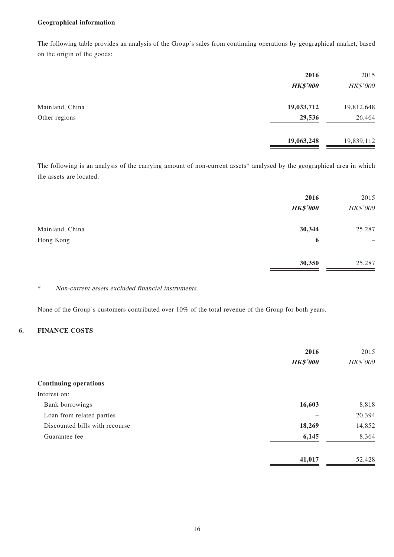#### **Geographical information**

The following table provides an analysis of the Group's sales from continuing operations by geographical market, based on the origin of the goods:

| 2016            | 2015       |
|-----------------|------------|
| <b>HK\$'000</b> | HK\$'000   |
| 19,033,712      | 19,812,648 |
| 29,536          | 26,464     |
| 19,063,248      | 19,839,112 |
|                 |            |

The following is an analysis of the carrying amount of non-current assets\* analysed by the geographical area in which the assets are located:

|                 | 2016<br><b>HK\$'000</b> | 2015<br>HK\$'000 |
|-----------------|-------------------------|------------------|
| Mainland, China | 30,344                  | 25,287           |
| Hong Kong       | 6                       | -                |
|                 | 30,350                  | 25,287           |

### \* Non-current assets excluded financial instruments.

None of the Group's customers contributed over 10% of the total revenue of the Group for both years.

### **6. FINANCE COSTS**

|                                | 2016            | 2015     |
|--------------------------------|-----------------|----------|
|                                | <b>HK\$'000</b> | HK\$'000 |
| <b>Continuing operations</b>   |                 |          |
| Interest on:                   |                 |          |
| Bank borrowings                | 16,603          | 8,818    |
| Loan from related parties      |                 | 20,394   |
| Discounted bills with recourse | 18,269          | 14,852   |
| Guarantee fee                  | 6,145           | 8,364    |
|                                | 41,017          | 52,428   |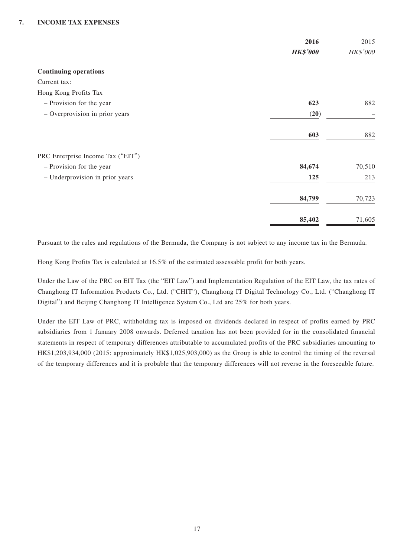|                                   | 2016<br><b>HK\$'000</b> | 2015<br>HK\$'000 |
|-----------------------------------|-------------------------|------------------|
|                                   |                         |                  |
| <b>Continuing operations</b>      |                         |                  |
| Current tax:                      |                         |                  |
| Hong Kong Profits Tax             |                         |                  |
| - Provision for the year          | 623                     | 882              |
| - Overprovision in prior years    | (20)                    |                  |
|                                   | 603                     | 882              |
| PRC Enterprise Income Tax ("EIT") |                         |                  |
| - Provision for the year          | 84,674                  | 70,510           |
| - Underprovision in prior years   | 125                     | 213              |
|                                   | 84,799                  | 70,723           |
|                                   | 85,402                  | 71,605           |

Pursuant to the rules and regulations of the Bermuda, the Company is not subject to any income tax in the Bermuda.

Hong Kong Profits Tax is calculated at 16.5% of the estimated assessable profit for both years.

Under the Law of the PRC on EIT Tax (the "EIT Law") and Implementation Regulation of the EIT Law, the tax rates of Changhong IT Information Products Co., Ltd. ("CHIT"), Changhong IT Digital Technology Co., Ltd. ("Changhong IT Digital") and Beijing Changhong IT Intelligence System Co., Ltd are 25% for both years.

Under the EIT Law of PRC, withholding tax is imposed on dividends declared in respect of profits earned by PRC subsidiaries from 1 January 2008 onwards. Deferred taxation has not been provided for in the consolidated financial statements in respect of temporary differences attributable to accumulated profits of the PRC subsidiaries amounting to HK\$1,203,934,000 (2015: approximately HK\$1,025,903,000) as the Group is able to control the timing of the reversal of the temporary differences and it is probable that the temporary differences will not reverse in the foreseeable future.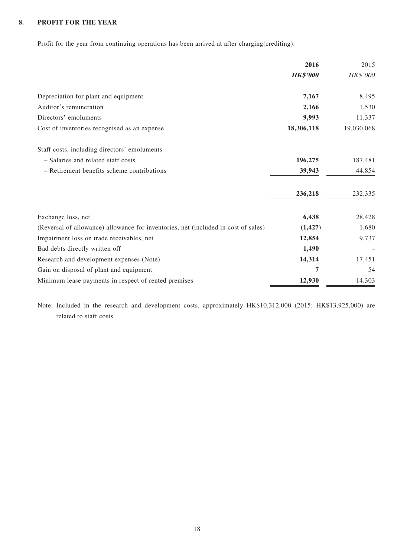### **8. PROFIT FOR THE YEAR**

Profit for the year from continuing operations has been arrived at after charging(crediting):

|                                                                                    | 2016            | 2015       |
|------------------------------------------------------------------------------------|-----------------|------------|
|                                                                                    | <b>HK\$'000</b> | HK\$'000   |
| Depreciation for plant and equipment                                               | 7,167           | 8,495      |
| Auditor's remuneration                                                             | 2,166           | 1,530      |
| Directors' emoluments                                                              | 9,993           | 11,337     |
| Cost of inventories recognised as an expense                                       | 18,306,118      | 19,030,068 |
| Staff costs, including directors' emoluments                                       |                 |            |
| - Salaries and related staff costs                                                 | 196,275         | 187,481    |
| - Retirement benefits scheme contributions                                         | 39,943          | 44,854     |
|                                                                                    | 236,218         | 232,335    |
| Exchange loss, net                                                                 | 6,438           | 28,428     |
| (Reversal of allowance) allowance for inventories, net (included in cost of sales) | (1, 427)        | 1,680      |
| Impairment loss on trade receivables, net                                          | 12,854          | 9,737      |
| Bad debts directly written off                                                     | 1,490           |            |
| Research and development expenses (Note)                                           | 14,314          | 17,451     |
| Gain on disposal of plant and equipment                                            | 7               | 54         |
| Minimum lease payments in respect of rented premises                               | 12,930          | 14,303     |

Note: Included in the research and development costs, approximately HK\$10,312,000 (2015: HK\$13,925,000) are related to staff costs.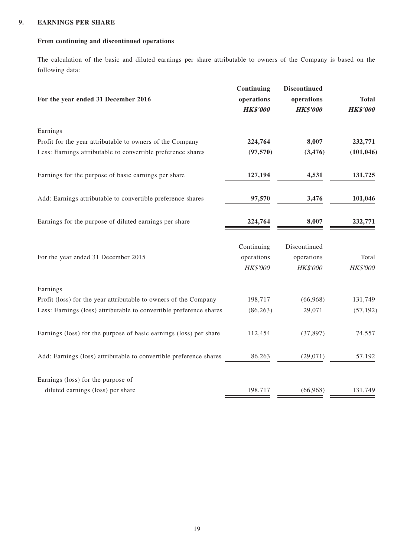### **9. EARNINGS PER SHARE**

### **From continuing and discontinued operations**

The calculation of the basic and diluted earnings per share attributable to owners of the Company is based on the following data:

| For the year ended 31 December 2016                                 | Continuing<br>operations<br><b>HK\$'000</b> | <b>Discontinued</b><br>operations<br><b>HK\$'000</b> | <b>Total</b><br><b>HK\$'000</b> |
|---------------------------------------------------------------------|---------------------------------------------|------------------------------------------------------|---------------------------------|
| Earnings                                                            |                                             |                                                      |                                 |
| Profit for the year attributable to owners of the Company           | 224,764                                     | 8,007                                                | 232,771                         |
| Less: Earnings attributable to convertible preference shares        | (97, 570)                                   | (3, 476)                                             | (101, 046)                      |
| Earnings for the purpose of basic earnings per share                | 127,194                                     | 4,531                                                | 131,725                         |
| Add: Earnings attributable to convertible preference shares         | 97,570                                      | 3,476                                                | 101,046                         |
| Earnings for the purpose of diluted earnings per share              | 224,764                                     | 8,007                                                | 232,771                         |
|                                                                     | Continuing                                  | Discontinued                                         |                                 |
| For the year ended 31 December 2015                                 | operations                                  | operations                                           | Total                           |
|                                                                     | <b>HK\$'000</b>                             | <b>HK\$'000</b>                                      | <b>HK\$'000</b>                 |
| Earnings                                                            |                                             |                                                      |                                 |
| Profit (loss) for the year attributable to owners of the Company    | 198,717                                     | (66,968)                                             | 131,749                         |
| Less: Earnings (loss) attributable to convertible preference shares | (86, 263)                                   | 29,071                                               | (57, 192)                       |
| Earnings (loss) for the purpose of basic earnings (loss) per share  | 112,454                                     | (37, 897)                                            | 74,557                          |
| Add: Earnings (loss) attributable to convertible preference shares  | 86,263                                      | (29,071)                                             | 57,192                          |
| Earnings (loss) for the purpose of                                  |                                             |                                                      |                                 |
| diluted earnings (loss) per share                                   | 198,717                                     | (66,968)                                             | 131,749                         |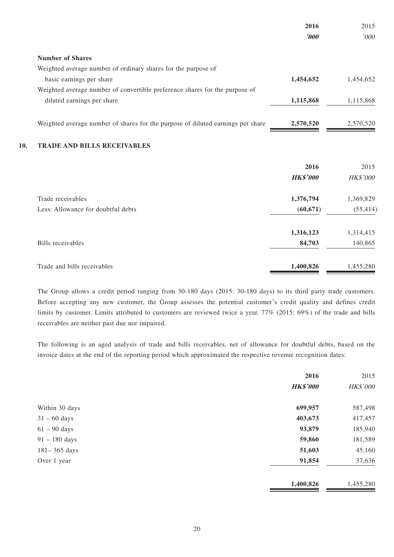|     |                                                                                 | 2016                  | 2015      |
|-----|---------------------------------------------------------------------------------|-----------------------|-----------|
|     |                                                                                 | $\boldsymbol{\delta}$ | '000      |
|     | <b>Number of Shares</b>                                                         |                       |           |
|     | Weighted average number of ordinary shares for the purpose of                   |                       |           |
|     | basic earnings per share                                                        | 1,454,652             | 1,454,652 |
|     | Weighted average number of convertible preference shares for the purpose of     |                       |           |
|     | diluted earnings per share                                                      | 1,115,868             | 1,115,868 |
|     | Weighted average number of shares for the purpose of diluted earnings per share | 2,570,520             | 2,570,520 |
| 10. | <b>TRADE AND BILLS RECEIVABLES</b>                                              |                       |           |
|     |                                                                                 | 2016                  | 2015      |
|     |                                                                                 | <b>HK\$'000</b>       | HK\$'000  |
|     | Trade receivables                                                               | 1,376,794             | 1,369,829 |
|     | Less: Allowance for doubtful debts                                              | (60, 671)             | (55, 414) |
|     |                                                                                 | 1,316,123             | 1,314,415 |
|     | <b>Bills</b> receivables                                                        | 84,703                | 140,865   |
|     | Trade and bills receivables                                                     | 1,400,826             | 1,455,280 |

The Group allows a credit period ranging from 30-180 days (2015: 30-180 days) to its third party trade customers. Before accepting any new customer, the Group assesses the potential customer's credit quality and defines credit limits by customer. Limits attributed to customers are reviewed twice a year. 77% (2015: 69%) of the trade and bills receivables are neither past due nor impaired.

The following is an aged analysis of trade and bills receivables, net of allowance for doubtful debts, based on the invoice dates at the end of the reporting period which approximated the respective revenue recognition dates:

|                        | 2016            | 2015      |
|------------------------|-----------------|-----------|
|                        | <b>HK\$'000</b> | HK\$'000  |
| Within 30 days         | 699,957         | 587,498   |
| $31 - 60 \text{ days}$ | 403,673         | 417,457   |
| $61 - 90$ days         | 93,879          | 185,940   |
| $91 - 180$ days        | 59,860          | 181,589   |
| $181 - 365$ days       | 51,603          | 45,160    |
| Over 1 year            | 91,854          | 37,636    |
|                        | 1,400,826       | 1,455,280 |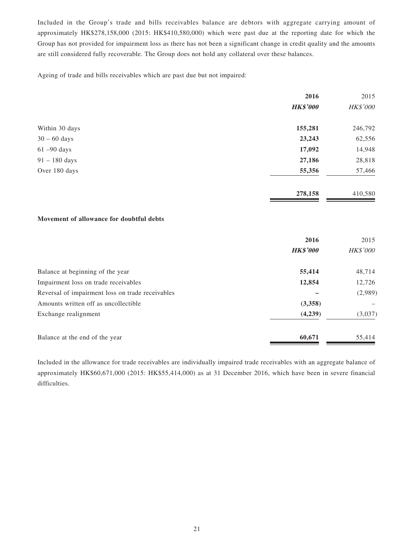Included in the Group's trade and bills receivables balance are debtors with aggregate carrying amount of approximately HK\$278,158,000 (2015: HK\$410,580,000) which were past due at the reporting date for which the Group has not provided for impairment loss as there has not been a significant change in credit quality and the amounts are still considered fully recoverable. The Group does not hold any collateral over these balances.

Ageing of trade and bills receivables which are past due but not impaired:

|                                          | 2016            | 2015     |
|------------------------------------------|-----------------|----------|
|                                          | <b>HK\$'000</b> | HK\$'000 |
| Within 30 days                           | 155,281         | 246,792  |
| $30 - 60$ days                           | 23,243          | 62,556   |
| $61 - 90$ days                           | 17,092          | 14,948   |
| $91 - 180$ days                          | 27,186          | 28,818   |
| Over 180 days                            | 55,356          | 57,466   |
|                                          | 278,158         | 410,580  |
| Movement of allowance for doubtful debts |                 |          |
|                                          | 2016            | 2015     |
|                                          | <b>HK\$'000</b> | HK\$'000 |
| Balance at beginning of the year         | 55,414          | 48,714   |
| Impairment loss on trade receivables     | 12,854          | 12,726   |

|                                                  | 2016            | 2015            |
|--------------------------------------------------|-----------------|-----------------|
|                                                  | <b>HK\$'000</b> | <b>HK\$'000</b> |
| Balance at beginning of the year                 | 55,414          | 48,714          |
| Impairment loss on trade receivables             | 12,854          | 12,726          |
| Reversal of impairment loss on trade receivables |                 | (2,989)         |
| Amounts written off as uncollectible             | (3,358)         |                 |
| Exchange realignment                             | (4,239)         | (3,037)         |
| Balance at the end of the year                   | 60,671          | 55,414          |

Included in the allowance for trade receivables are individually impaired trade receivables with an aggregate balance of approximately HK\$60,671,000 (2015: HK\$55,414,000) as at 31 December 2016, which have been in severe financial difficulties.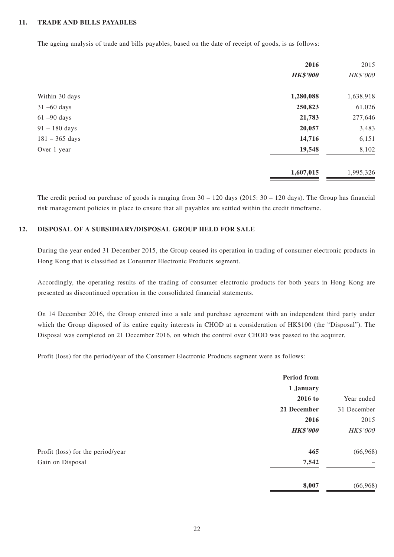#### **11. TRADE AND BILLS PAYABLES**

The ageing analysis of trade and bills payables, based on the date of receipt of goods, is as follows:

|                  | 2016            | 2015      |
|------------------|-----------------|-----------|
|                  | <b>HK\$'000</b> | HK\$'000  |
| Within 30 days   | 1,280,088       | 1,638,918 |
| $31 - 60$ days   | 250,823         | 61,026    |
| $61 - 90$ days   | 21,783          | 277,646   |
| $91 - 180$ days  | 20,057          | 3,483     |
| $181 - 365$ days | 14,716          | 6,151     |
| Over 1 year      | 19,548          | 8,102     |
|                  | 1,607,015       | 1,995,326 |

The credit period on purchase of goods is ranging from  $30 - 120$  days (2015:  $30 - 120$  days). The Group has financial risk management policies in place to ensure that all payables are settled within the credit timeframe.

### **12. DISPOSAL OF A SUBSIDIARY/DISPOSAL GROUP HELD FOR SALE**

During the year ended 31 December 2015, the Group ceased its operation in trading of consumer electronic products in Hong Kong that is classified as Consumer Electronic Products segment.

Accordingly, the operating results of the trading of consumer electronic products for both years in Hong Kong are presented as discontinued operation in the consolidated financial statements.

On 14 December 2016, the Group entered into a sale and purchase agreement with an independent third party under which the Group disposed of its entire equity interests in CHOD at a consideration of HK\$100 (the "Disposal"). The Disposal was completed on 21 December 2016, on which the control over CHOD was passed to the acquirer.

Profit (loss) for the period/year of the Consumer Electronic Products segment were as follows:

|                                   | <b>Period from</b> |                 |
|-----------------------------------|--------------------|-----------------|
|                                   | 1 January          |                 |
|                                   | 2016 to            | Year ended      |
|                                   | 21 December        | 31 December     |
|                                   | 2016               | 2015            |
|                                   | <b>HK\$'000</b>    | <b>HK\$'000</b> |
| Profit (loss) for the period/year | 465                | (66,968)        |
| Gain on Disposal                  | 7,542              |                 |
|                                   | 8,007              | (66,968)        |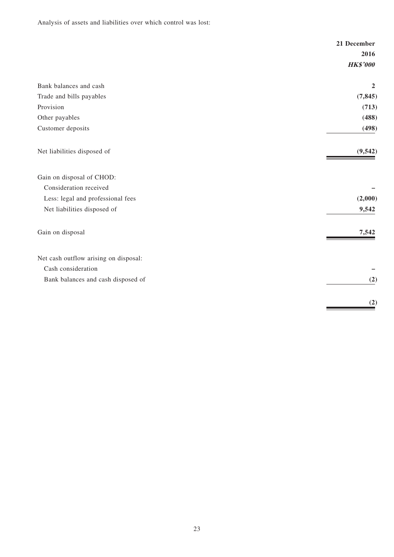Analysis of assets and liabilities over which control was lost:

|                                       | 21 December     |
|---------------------------------------|-----------------|
|                                       | 2016            |
|                                       | <b>HK\$'000</b> |
| Bank balances and cash                | $\overline{2}$  |
| Trade and bills payables              | (7, 845)        |
| Provision                             | (713)           |
| Other payables                        | (488)           |
| Customer deposits                     | (498)           |
| Net liabilities disposed of           | (9, 542)        |
| Gain on disposal of CHOD:             |                 |
| Consideration received                |                 |
| Less: legal and professional fees     | (2,000)         |
| Net liabilities disposed of           | 9,542           |
| Gain on disposal                      | 7,542           |
| Net cash outflow arising on disposal: |                 |
| Cash consideration                    |                 |
| Bank balances and cash disposed of    | (2)             |
|                                       | (2)             |
|                                       |                 |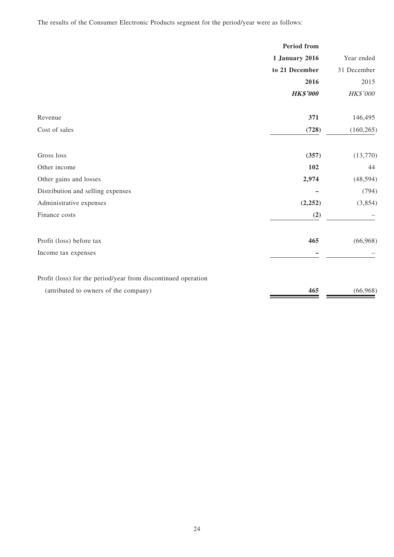The results of the Consumer Electronic Products segment for the period/year were as follows:

|                                                               | <b>Period</b> from    |             |
|---------------------------------------------------------------|-----------------------|-------------|
|                                                               | <b>1 January 2016</b> | Year ended  |
|                                                               | to 21 December        | 31 December |
|                                                               | 2016                  | 2015        |
|                                                               | <b>HK\$'000</b>       | HK\$'000    |
| Revenue                                                       | 371                   | 146,495     |
| Cost of sales                                                 | (728)                 | (160, 265)  |
| Gross loss                                                    | (357)                 | (13,770)    |
| Other income                                                  | 102                   | 44          |
| Other gains and losses                                        | 2,974                 | (48, 594)   |
| Distribution and selling expenses                             |                       | (794)       |
| Administrative expenses                                       | (2, 252)              | (3,854)     |
| Finance costs                                                 | (2)                   |             |
| Profit (loss) before tax                                      | 465                   | (66,968)    |
| Income tax expenses                                           |                       |             |
| Profit (loss) for the period/year from discontinued operation |                       |             |
| (attributed to owners of the company)                         | 465                   | (66,968)    |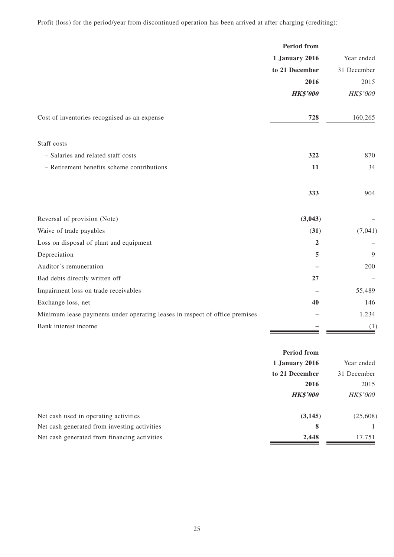Profit (loss) for the period/year from discontinued operation has been arrived at after charging (crediting):

|                                                                             | <b>Period from</b>    |             |
|-----------------------------------------------------------------------------|-----------------------|-------------|
|                                                                             | <b>1 January 2016</b> | Year ended  |
|                                                                             | to 21 December        | 31 December |
|                                                                             | 2016                  | 2015        |
|                                                                             | <b>HK\$'000</b>       | HK\$'000    |
| Cost of inventories recognised as an expense                                | 728                   | 160,265     |
| Staff costs                                                                 |                       |             |
| - Salaries and related staff costs                                          | 322                   | 870         |
| - Retirement benefits scheme contributions                                  | 11                    | 34          |
|                                                                             | 333                   | 904         |
| Reversal of provision (Note)                                                | (3,043)               |             |
| Waive of trade payables                                                     | (31)                  | (7,041)     |
| Loss on disposal of plant and equipment                                     | $\overline{2}$        |             |
| Depreciation                                                                | 5                     | 9           |
| Auditor's remuneration                                                      |                       | 200         |
| Bad debts directly written off                                              | 27                    |             |
| Impairment loss on trade receivables                                        |                       | 55,489      |
| Exchange loss, net                                                          | 40                    | 146         |
| Minimum lease payments under operating leases in respect of office premises |                       | 1,234       |
| Bank interest income                                                        |                       | (1)         |

|                                              | <b>Period from</b> |                 |
|----------------------------------------------|--------------------|-----------------|
|                                              | 1 January 2016     | Year ended      |
|                                              | to 21 December     | 31 December     |
|                                              | 2016               | 2015            |
|                                              | <b>HK\$'000</b>    | <b>HK\$'000</b> |
| Net cash used in operating activities        | (3, 145)           | (25,608)        |
| Net cash generated from investing activities | 8                  |                 |
| Net cash generated from financing activities | 2,448              | 17,751          |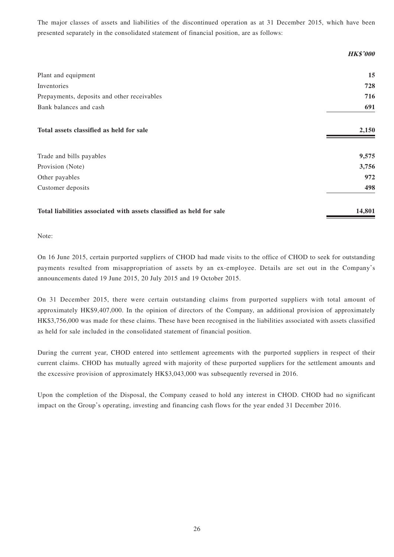The major classes of assets and liabilities of the discontinued operation as at 31 December 2015, which have been presented separately in the consolidated statement of financial position, are as follows:

|                                                                      | <b>HK\$'000</b> |
|----------------------------------------------------------------------|-----------------|
| Plant and equipment                                                  | 15              |
| Inventories                                                          | 728             |
| Prepayments, deposits and other receivables                          | 716             |
| Bank balances and cash                                               | 691             |
| Total assets classified as held for sale                             | 2,150           |
| Trade and bills payables                                             | 9,575           |
| Provision (Note)                                                     | 3,756           |
| Other payables                                                       | 972             |
| Customer deposits                                                    | 498             |
| Total liabilities associated with assets classified as held for sale | 14,801          |

Note:

On 16 June 2015, certain purported suppliers of CHOD had made visits to the office of CHOD to seek for outstanding payments resulted from misappropriation of assets by an ex-employee. Details are set out in the Company's announcements dated 19 June 2015, 20 July 2015 and 19 October 2015.

On 31 December 2015, there were certain outstanding claims from purported suppliers with total amount of approximately HK\$9,407,000. In the opinion of directors of the Company, an additional provision of approximately HK\$3,756,000 was made for these claims. These have been recognised in the liabilities associated with assets classified as held for sale included in the consolidated statement of financial position.

During the current year, CHOD entered into settlement agreements with the purported suppliers in respect of their current claims. CHOD has mutually agreed with majority of these purported suppliers for the settlement amounts and the excessive provision of approximately HK\$3,043,000 was subsequently reversed in 2016.

Upon the completion of the Disposal, the Company ceased to hold any interest in CHOD. CHOD had no significant impact on the Group's operating, investing and financing cash flows for the year ended 31 December 2016.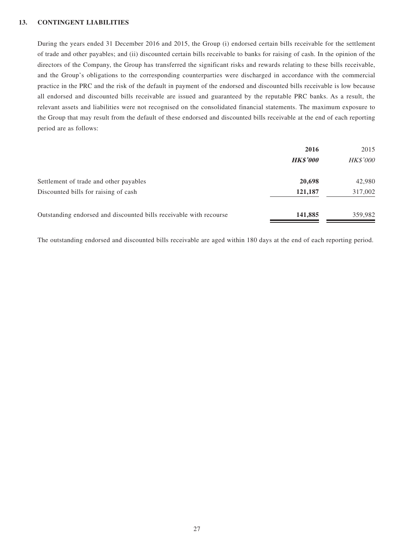#### **13. CONTINGENT LIABILITIES**

During the years ended 31 December 2016 and 2015, the Group (i) endorsed certain bills receivable for the settlement of trade and other payables; and (ii) discounted certain bills receivable to banks for raising of cash. In the opinion of the directors of the Company, the Group has transferred the significant risks and rewards relating to these bills receivable, and the Group's obligations to the corresponding counterparties were discharged in accordance with the commercial practice in the PRC and the risk of the default in payment of the endorsed and discounted bills receivable is low because all endorsed and discounted bills receivable are issued and guaranteed by the reputable PRC banks. As a result, the relevant assets and liabilities were not recognised on the consolidated financial statements. The maximum exposure to the Group that may result from the default of these endorsed and discounted bills receivable at the end of each reporting period are as follows:

|                                                                    | 2016            | 2015            |
|--------------------------------------------------------------------|-----------------|-----------------|
|                                                                    | <b>HK\$'000</b> | <b>HK\$'000</b> |
| Settlement of trade and other payables                             | 20,698          | 42,980          |
| Discounted bills for raising of cash                               | 121,187         | 317,002         |
| Outstanding endorsed and discounted bills receivable with recourse | 141,885         | 359,982         |

The outstanding endorsed and discounted bills receivable are aged within 180 days at the end of each reporting period.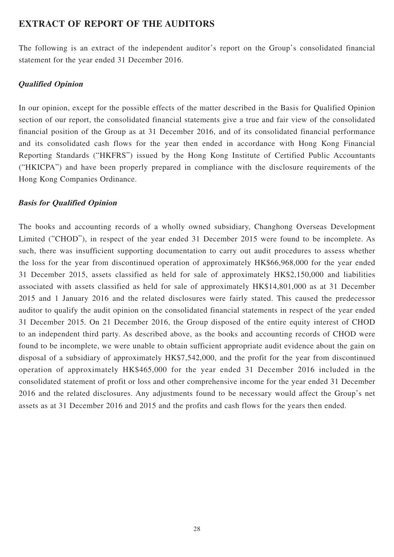### **EXTRACT OF REPORT OF THE AUDITORS**

The following is an extract of the independent auditor's report on the Group's consolidated financial statement for the year ended 31 December 2016.

### **Qualified Opinion**

In our opinion, except for the possible effects of the matter described in the Basis for Qualified Opinion section of our report, the consolidated financial statements give a true and fair view of the consolidated financial position of the Group as at 31 December 2016, and of its consolidated financial performance and its consolidated cash flows for the year then ended in accordance with Hong Kong Financial Reporting Standards ("HKFRS") issued by the Hong Kong Institute of Certified Public Accountants ("HKICPA") and have been properly prepared in compliance with the disclosure requirements of the Hong Kong Companies Ordinance.

### **Basis for Qualified Opinion**

The books and accounting records of a wholly owned subsidiary, Changhong Overseas Development Limited ("CHOD"), in respect of the year ended 31 December 2015 were found to be incomplete. As such, there was insufficient supporting documentation to carry out audit procedures to assess whether the loss for the year from discontinued operation of approximately HK\$66,968,000 for the year ended 31 December 2015, assets classified as held for sale of approximately HK\$2,150,000 and liabilities associated with assets classified as held for sale of approximately HK\$14,801,000 as at 31 December 2015 and 1 January 2016 and the related disclosures were fairly stated. This caused the predecessor auditor to qualify the audit opinion on the consolidated financial statements in respect of the year ended 31 December 2015. On 21 December 2016, the Group disposed of the entire equity interest of CHOD to an independent third party. As described above, as the books and accounting records of CHOD were found to be incomplete, we were unable to obtain sufficient appropriate audit evidence about the gain on disposal of a subsidiary of approximately HK\$7,542,000, and the profit for the year from discontinued operation of approximately HK\$465,000 for the year ended 31 December 2016 included in the consolidated statement of profit or loss and other comprehensive income for the year ended 31 December 2016 and the related disclosures. Any adjustments found to be necessary would affect the Group's net assets as at 31 December 2016 and 2015 and the profits and cash flows for the years then ended.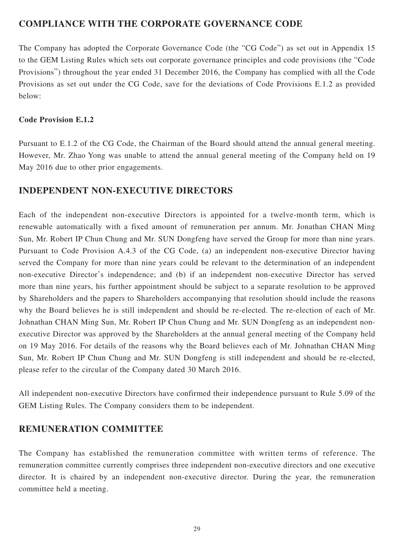# **COMPLIANCE WITH THE CORPORATE GOVERNANCE CODE**

The Company has adopted the Corporate Governance Code (the "CG Code") as set out in Appendix 15 to the GEM Listing Rules which sets out corporate governance principles and code provisions (the "Code Provisions") throughout the year ended 31 December 2016, the Company has complied with all the Code Provisions as set out under the CG Code, save for the deviations of Code Provisions E.1.2 as provided below:

### **Code Provision E.1.2**

Pursuant to E.1.2 of the CG Code, the Chairman of the Board should attend the annual general meeting. However, Mr. Zhao Yong was unable to attend the annual general meeting of the Company held on 19 May 2016 due to other prior engagements.

### **INDEPENDENT NON-EXECUTIVE DIRECTORS**

Each of the independent non-executive Directors is appointed for a twelve-month term, which is renewable automatically with a fixed amount of remuneration per annum. Mr. Jonathan CHAN Ming Sun, Mr. Robert IP Chun Chung and Mr. SUN Dongfeng have served the Group for more than nine years. Pursuant to Code Provision A.4.3 of the CG Code, (a) an independent non-executive Director having served the Company for more than nine years could be relevant to the determination of an independent non-executive Director's independence; and (b) if an independent non-executive Director has served more than nine years, his further appointment should be subject to a separate resolution to be approved by Shareholders and the papers to Shareholders accompanying that resolution should include the reasons why the Board believes he is still independent and should be re-elected. The re-election of each of Mr. Johnathan CHAN Ming Sun, Mr. Robert IP Chun Chung and Mr. SUN Dongfeng as an independent nonexecutive Director was approved by the Shareholders at the annual general meeting of the Company held on 19 May 2016. For details of the reasons why the Board believes each of Mr. Johnathan CHAN Ming Sun, Mr. Robert IP Chun Chung and Mr. SUN Dongfeng is still independent and should be re-elected, please refer to the circular of the Company dated 30 March 2016.

All independent non-executive Directors have confirmed their independence pursuant to Rule 5.09 of the GEM Listing Rules. The Company considers them to be independent.

## **REMUNERATION COMMITTEE**

The Company has established the remuneration committee with written terms of reference. The remuneration committee currently comprises three independent non-executive directors and one executive director. It is chaired by an independent non-executive director. During the year, the remuneration committee held a meeting.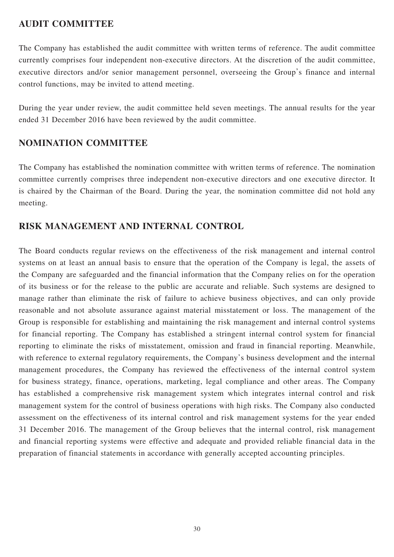# **AUDIT COMMITTEE**

The Company has established the audit committee with written terms of reference. The audit committee currently comprises four independent non-executive directors. At the discretion of the audit committee, executive directors and/or senior management personnel, overseeing the Group's finance and internal control functions, may be invited to attend meeting.

During the year under review, the audit committee held seven meetings. The annual results for the year ended 31 December 2016 have been reviewed by the audit committee.

# **NOMINATION COMMITTEE**

The Company has established the nomination committee with written terms of reference. The nomination committee currently comprises three independent non-executive directors and one executive director. It is chaired by the Chairman of the Board. During the year, the nomination committee did not hold any meeting.

# **RISK MANAGEMENT AND INTERNAL CONTROL**

The Board conducts regular reviews on the effectiveness of the risk management and internal control systems on at least an annual basis to ensure that the operation of the Company is legal, the assets of the Company are safeguarded and the financial information that the Company relies on for the operation of its business or for the release to the public are accurate and reliable. Such systems are designed to manage rather than eliminate the risk of failure to achieve business objectives, and can only provide reasonable and not absolute assurance against material misstatement or loss. The management of the Group is responsible for establishing and maintaining the risk management and internal control systems for financial reporting. The Company has established a stringent internal control system for financial reporting to eliminate the risks of misstatement, omission and fraud in financial reporting. Meanwhile, with reference to external regulatory requirements, the Company's business development and the internal management procedures, the Company has reviewed the effectiveness of the internal control system for business strategy, finance, operations, marketing, legal compliance and other areas. The Company has established a comprehensive risk management system which integrates internal control and risk management system for the control of business operations with high risks. The Company also conducted assessment on the effectiveness of its internal control and risk management systems for the year ended 31 December 2016. The management of the Group believes that the internal control, risk management and financial reporting systems were effective and adequate and provided reliable financial data in the preparation of financial statements in accordance with generally accepted accounting principles.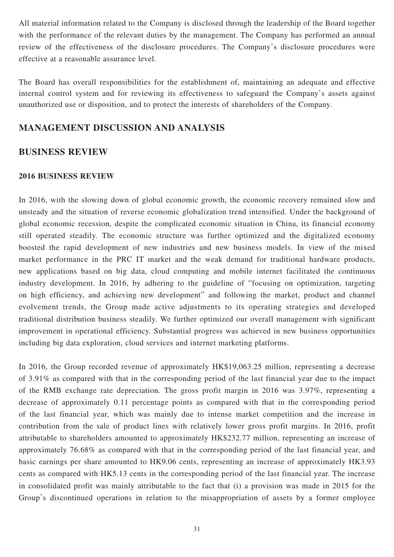All material information related to the Company is disclosed through the leadership of the Board together with the performance of the relevant duties by the management. The Company has performed an annual review of the effectiveness of the disclosure procedures. The Company's disclosure procedures were effective at a reasonable assurance level.

The Board has overall responsibilities for the establishment of, maintaining an adequate and effective internal control system and for reviewing its effectiveness to safeguard the Company's assets against unauthorized use or disposition, and to protect the interests of shareholders of the Company.

### **MANAGEMENT DISCUSSION AND ANALYSIS**

### **BUSINESS REVIEW**

### **2016 BUSINESS REVIEW**

In 2016, with the slowing down of global economic growth, the economic recovery remained slow and unsteady and the situation of reverse economic globalization trend intensified. Under the background of global economic recession, despite the complicated economic situation in China, its financial economy still operated steadily. The economic structure was further optimized and the digitalized economy boosted the rapid development of new industries and new business models. In view of the mixed market performance in the PRC IT market and the weak demand for traditional hardware products, new applications based on big data, cloud computing and mobile internet facilitated the continuous industry development. In 2016, by adhering to the guideline of "focusing on optimization, targeting on high efficiency, and achieving new development" and following the market, product and channel evolvement trends, the Group made active adjustments to its operating strategies and developed traditional distribution business steadily. We further optimized our overall management with significant improvement in operational efficiency. Substantial progress was achieved in new business opportunities including big data exploration, cloud services and internet marketing platforms.

In 2016, the Group recorded revenue of approximately HK\$19,063.25 million, representing a decrease of 3.91% as compared with that in the corresponding period of the last financial year due to the impact of the RMB exchange rate depreciation. The gross profit margin in 2016 was 3.97%, representing a decrease of approximately 0.11 percentage points as compared with that in the corresponding period of the last financial year, which was mainly due to intense market competition and the increase in contribution from the sale of product lines with relatively lower gross profit margins. In 2016, profit attributable to shareholders amounted to approximately HK\$232.77 million, representing an increase of approximately 76.68% as compared with that in the corresponding period of the last financial year, and basic earnings per share amounted to HK9.06 cents, representing an increase of approximately HK3.93 cents as compared with HK5.13 cents in the corresponding period of the last financial year. The increase in consolidated profit was mainly attributable to the fact that (i) a provision was made in 2015 for the Group's discontinued operations in relation to the misappropriation of assets by a former employee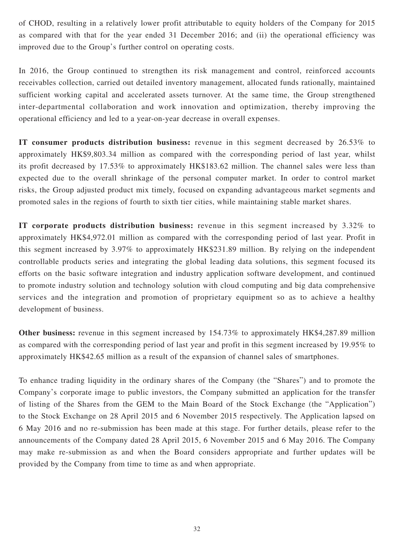of CHOD, resulting in a relatively lower profit attributable to equity holders of the Company for 2015 as compared with that for the year ended 31 December 2016; and (ii) the operational efficiency was improved due to the Group's further control on operating costs.

In 2016, the Group continued to strengthen its risk management and control, reinforced accounts receivables collection, carried out detailed inventory management, allocated funds rationally, maintained sufficient working capital and accelerated assets turnover. At the same time, the Group strengthened inter-departmental collaboration and work innovation and optimization, thereby improving the operational efficiency and led to a year-on-year decrease in overall expenses.

**IT consumer products distribution business:** revenue in this segment decreased by 26.53% to approximately HK\$9,803.34 million as compared with the corresponding period of last year, whilst its profit decreased by 17.53% to approximately HK\$183.62 million. The channel sales were less than expected due to the overall shrinkage of the personal computer market. In order to control market risks, the Group adjusted product mix timely, focused on expanding advantageous market segments and promoted sales in the regions of fourth to sixth tier cities, while maintaining stable market shares.

**IT corporate products distribution business:** revenue in this segment increased by 3.32% to approximately HK\$4,972.01 million as compared with the corresponding period of last year. Profit in this segment increased by 3.97% to approximately HK\$231.89 million. By relying on the independent controllable products series and integrating the global leading data solutions, this segment focused its efforts on the basic software integration and industry application software development, and continued to promote industry solution and technology solution with cloud computing and big data comprehensive services and the integration and promotion of proprietary equipment so as to achieve a healthy development of business.

**Other business:** revenue in this segment increased by 154.73% to approximately HK\$4,287.89 million as compared with the corresponding period of last year and profit in this segment increased by 19.95% to approximately HK\$42.65 million as a result of the expansion of channel sales of smartphones.

To enhance trading liquidity in the ordinary shares of the Company (the "Shares") and to promote the Company's corporate image to public investors, the Company submitted an application for the transfer of listing of the Shares from the GEM to the Main Board of the Stock Exchange (the "Application") to the Stock Exchange on 28 April 2015 and 6 November 2015 respectively. The Application lapsed on 6 May 2016 and no re-submission has been made at this stage. For further details, please refer to the announcements of the Company dated 28 April 2015, 6 November 2015 and 6 May 2016. The Company may make re-submission as and when the Board considers appropriate and further updates will be provided by the Company from time to time as and when appropriate.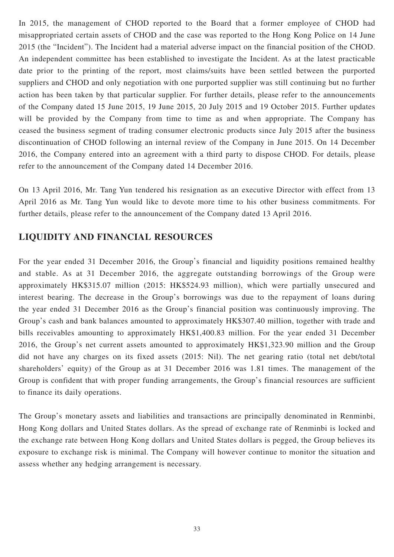In 2015, the management of CHOD reported to the Board that a former employee of CHOD had misappropriated certain assets of CHOD and the case was reported to the Hong Kong Police on 14 June 2015 (the "Incident"). The Incident had a material adverse impact on the financial position of the CHOD. An independent committee has been established to investigate the Incident. As at the latest practicable date prior to the printing of the report, most claims/suits have been settled between the purported suppliers and CHOD and only negotiation with one purported supplier was still continuing but no further action has been taken by that particular supplier. For further details, please refer to the announcements of the Company dated 15 June 2015, 19 June 2015, 20 July 2015 and 19 October 2015. Further updates will be provided by the Company from time to time as and when appropriate. The Company has ceased the business segment of trading consumer electronic products since July 2015 after the business discontinuation of CHOD following an internal review of the Company in June 2015. On 14 December 2016, the Company entered into an agreement with a third party to dispose CHOD. For details, please refer to the announcement of the Company dated 14 December 2016.

On 13 April 2016, Mr. Tang Yun tendered his resignation as an executive Director with effect from 13 April 2016 as Mr. Tang Yun would like to devote more time to his other business commitments. For further details, please refer to the announcement of the Company dated 13 April 2016.

## **LIQUIDITY AND FINANCIAL RESOURCES**

For the year ended 31 December 2016, the Group's financial and liquidity positions remained healthy and stable. As at 31 December 2016, the aggregate outstanding borrowings of the Group were approximately HK\$315.07 million (2015: HK\$524.93 million), which were partially unsecured and interest bearing. The decrease in the Group's borrowings was due to the repayment of loans during the year ended 31 December 2016 as the Group's financial position was continuously improving. The Group's cash and bank balances amounted to approximately HK\$307.40 million, together with trade and bills receivables amounting to approximately HK\$1,400.83 million. For the year ended 31 December 2016, the Group's net current assets amounted to approximately HK\$1,323.90 million and the Group did not have any charges on its fixed assets (2015: Nil). The net gearing ratio (total net debt/total shareholders' equity) of the Group as at 31 December 2016 was 1.81 times. The management of the Group is confident that with proper funding arrangements, the Group's financial resources are sufficient to finance its daily operations.

The Group's monetary assets and liabilities and transactions are principally denominated in Renminbi, Hong Kong dollars and United States dollars. As the spread of exchange rate of Renminbi is locked and the exchange rate between Hong Kong dollars and United States dollars is pegged, the Group believes its exposure to exchange risk is minimal. The Company will however continue to monitor the situation and assess whether any hedging arrangement is necessary.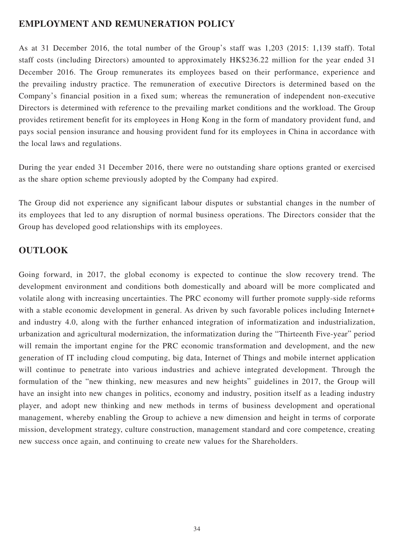## **EMPLOYMENT AND REMUNERATION POLICY**

As at 31 December 2016, the total number of the Group's staff was 1,203 (2015: 1,139 staff). Total staff costs (including Directors) amounted to approximately HK\$236.22 million for the year ended 31 December 2016. The Group remunerates its employees based on their performance, experience and the prevailing industry practice. The remuneration of executive Directors is determined based on the Company's financial position in a fixed sum; whereas the remuneration of independent non-executive Directors is determined with reference to the prevailing market conditions and the workload. The Group provides retirement benefit for its employees in Hong Kong in the form of mandatory provident fund, and pays social pension insurance and housing provident fund for its employees in China in accordance with the local laws and regulations.

During the year ended 31 December 2016, there were no outstanding share options granted or exercised as the share option scheme previously adopted by the Company had expired.

The Group did not experience any significant labour disputes or substantial changes in the number of its employees that led to any disruption of normal business operations. The Directors consider that the Group has developed good relationships with its employees.

## **OUTLOOK**

Going forward, in 2017, the global economy is expected to continue the slow recovery trend. The development environment and conditions both domestically and aboard will be more complicated and volatile along with increasing uncertainties. The PRC economy will further promote supply-side reforms with a stable economic development in general. As driven by such favorable polices including Internet+ and industry 4.0, along with the further enhanced integration of informatization and industrialization, urbanization and agricultural modernization, the informatization during the "Thirteenth Five-year" period will remain the important engine for the PRC economic transformation and development, and the new generation of IT including cloud computing, big data, Internet of Things and mobile internet application will continue to penetrate into various industries and achieve integrated development. Through the formulation of the "new thinking, new measures and new heights" guidelines in 2017, the Group will have an insight into new changes in politics, economy and industry, position itself as a leading industry player, and adopt new thinking and new methods in terms of business development and operational management, whereby enabling the Group to achieve a new dimension and height in terms of corporate mission, development strategy, culture construction, management standard and core competence, creating new success once again, and continuing to create new values for the Shareholders.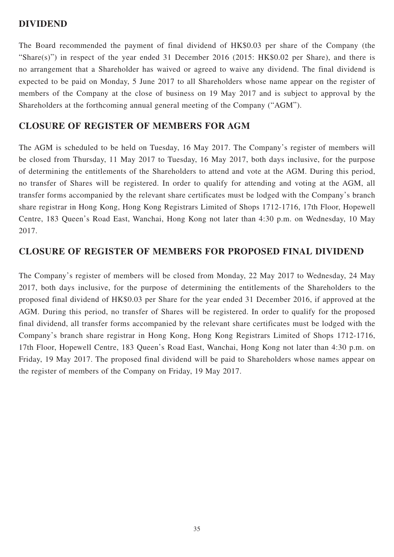### **DIVIDEND**

The Board recommended the payment of final dividend of HK\$0.03 per share of the Company (the "Share(s)") in respect of the year ended 31 December 2016 (2015: HK\$0.02 per Share), and there is no arrangement that a Shareholder has waived or agreed to waive any dividend. The final dividend is expected to be paid on Monday, 5 June 2017 to all Shareholders whose name appear on the register of members of the Company at the close of business on 19 May 2017 and is subject to approval by the Shareholders at the forthcoming annual general meeting of the Company ("AGM").

# **CLOSURE OF REGISTER OF MEMBERS FOR AGM**

The AGM is scheduled to be held on Tuesday, 16 May 2017. The Company's register of members will be closed from Thursday, 11 May 2017 to Tuesday, 16 May 2017, both days inclusive, for the purpose of determining the entitlements of the Shareholders to attend and vote at the AGM. During this period, no transfer of Shares will be registered. In order to qualify for attending and voting at the AGM, all transfer forms accompanied by the relevant share certificates must be lodged with the Company's branch share registrar in Hong Kong, Hong Kong Registrars Limited of Shops 1712-1716, 17th Floor, Hopewell Centre, 183 Queen's Road East, Wanchai, Hong Kong not later than 4:30 p.m. on Wednesday, 10 May 2017.

# **CLOSURE OF REGISTER OF MEMBERS FOR PROPOSED FINAL DIVIDEND**

The Company's register of members will be closed from Monday, 22 May 2017 to Wednesday, 24 May 2017, both days inclusive, for the purpose of determining the entitlements of the Shareholders to the proposed final dividend of HK\$0.03 per Share for the year ended 31 December 2016, if approved at the AGM. During this period, no transfer of Shares will be registered. In order to qualify for the proposed final dividend, all transfer forms accompanied by the relevant share certificates must be lodged with the Company's branch share registrar in Hong Kong, Hong Kong Registrars Limited of Shops 1712-1716, 17th Floor, Hopewell Centre, 183 Queen's Road East, Wanchai, Hong Kong not later than 4:30 p.m. on Friday, 19 May 2017. The proposed final dividend will be paid to Shareholders whose names appear on the register of members of the Company on Friday, 19 May 2017.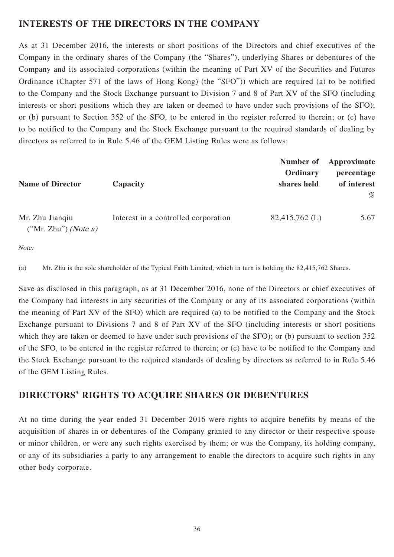# **INTERESTS OF THE DIRECTORS IN THE COMPANY**

As at 31 December 2016, the interests or short positions of the Directors and chief executives of the Company in the ordinary shares of the Company (the "Shares"), underlying Shares or debentures of the Company and its associated corporations (within the meaning of Part XV of the Securities and Futures Ordinance (Chapter 571 of the laws of Hong Kong) (the "SFO")) which are required (a) to be notified to the Company and the Stock Exchange pursuant to Division 7 and 8 of Part XV of the SFO (including interests or short positions which they are taken or deemed to have under such provisions of the SFO); or (b) pursuant to Section 352 of the SFO, to be entered in the register referred to therein; or (c) have to be notified to the Company and the Stock Exchange pursuant to the required standards of dealing by directors as referred to in Rule 5.46 of the GEM Listing Rules were as follows:

| <b>Name of Director</b>                   | Capacity                             | Number of<br>Ordinary<br>shares held | Approximate<br>percentage<br>of interest |
|-------------------------------------------|--------------------------------------|--------------------------------------|------------------------------------------|
|                                           |                                      |                                      | %                                        |
| Mr. Zhu Jianqiu<br>$("Mr. Zhu")$ (Note a) | Interest in a controlled corporation | $82,415,762 \; (L)$                  | 5.67                                     |

Note:

(a) Mr. Zhu is the sole shareholder of the Typical Faith Limited, which in turn is holding the 82,415,762 Shares.

Save as disclosed in this paragraph, as at 31 December 2016, none of the Directors or chief executives of the Company had interests in any securities of the Company or any of its associated corporations (within the meaning of Part XV of the SFO) which are required (a) to be notified to the Company and the Stock Exchange pursuant to Divisions 7 and 8 of Part XV of the SFO (including interests or short positions which they are taken or deemed to have under such provisions of the SFO); or (b) pursuant to section 352 of the SFO, to be entered in the register referred to therein; or (c) have to be notified to the Company and the Stock Exchange pursuant to the required standards of dealing by directors as referred to in Rule 5.46 of the GEM Listing Rules.

# **DIRECTORS' RIGHTS TO ACQUIRE SHARES OR DEBENTURES**

At no time during the year ended 31 December 2016 were rights to acquire benefits by means of the acquisition of shares in or debentures of the Company granted to any director or their respective spouse or minor children, or were any such rights exercised by them; or was the Company, its holding company, or any of its subsidiaries a party to any arrangement to enable the directors to acquire such rights in any other body corporate.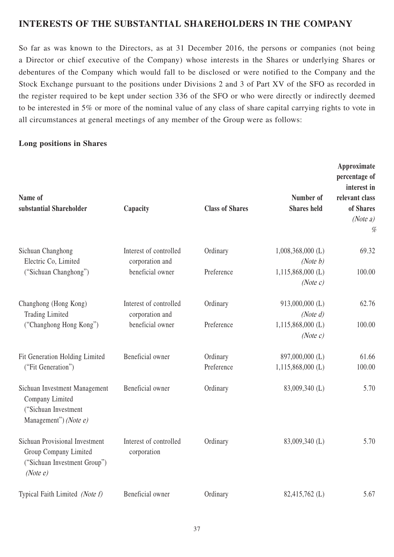# **INTERESTS OF THE SUBSTANTIAL SHAREHOLDERS IN THE COMPANY**

So far as was known to the Directors, as at 31 December 2016, the persons or companies (not being a Director or chief executive of the Company) whose interests in the Shares or underlying Shares or debentures of the Company which would fall to be disclosed or were notified to the Company and the Stock Exchange pursuant to the positions under Divisions 2 and 3 of Part XV of the SFO as recorded in the register required to be kept under section 336 of the SFO or who were directly or indirectly deemed to be interested in 5% or more of the nominal value of any class of share capital carrying rights to vote in all circumstances at general meetings of any member of the Group were as follows:

### **Long positions in Shares**

| Name of<br>substantial Shareholder                                                                         | Capacity                                  | <b>Class of Shares</b> | Number of<br><b>Shares</b> held | Approximate<br>percentage of<br>interest in<br>relevant class<br>of Shares<br>(Note a)<br>% |
|------------------------------------------------------------------------------------------------------------|-------------------------------------------|------------------------|---------------------------------|---------------------------------------------------------------------------------------------|
| Sichuan Changhong<br>Electric Co, Limited                                                                  | Interest of controlled<br>corporation and | Ordinary               | $1,008,368,000$ (L)<br>(Note b) | 69.32                                                                                       |
| ("Sichuan Changhong")                                                                                      | beneficial owner                          | Preference             | 1,115,868,000 (L)<br>(Note c)   | 100.00                                                                                      |
| Changhong (Hong Kong)<br><b>Trading Limited</b><br>("Changhong Hong Kong")                                 | Interest of controlled<br>corporation and | Ordinary               | 913,000,000 (L)<br>(Note d)     | 62.76                                                                                       |
|                                                                                                            | beneficial owner                          | Preference             | $1,115,868,000$ (L)<br>(Note c) | 100.00                                                                                      |
| Fit Generation Holding Limited                                                                             | Beneficial owner                          | Ordinary               | 897,000,000 (L)                 | 61.66                                                                                       |
| ("Fit Generation")                                                                                         |                                           | Preference             | $1,115,868,000$ (L)             | 100.00                                                                                      |
| Sichuan Investment Management<br>Company Limited<br>("Sichuan Investment<br>Management") (Note e)          | Beneficial owner                          | Ordinary               | 83,009,340 (L)                  | 5.70                                                                                        |
| <b>Sichuan Provisional Investment</b><br>Group Company Limited<br>("Sichuan Investment Group")<br>(Note e) | Interest of controlled<br>corporation     | Ordinary               | 83,009,340 (L)                  | 5.70                                                                                        |
| Typical Faith Limited (Note f)                                                                             | Beneficial owner                          | Ordinary               | 82,415,762 (L)                  | 5.67                                                                                        |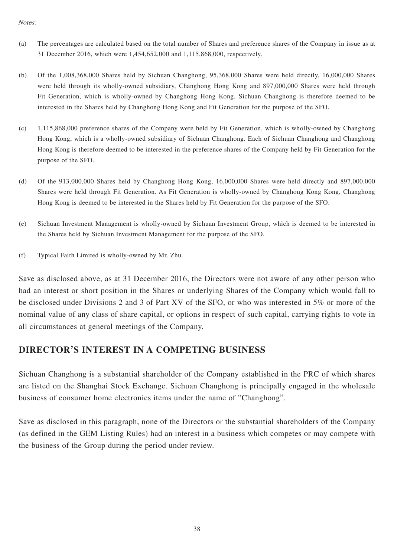#### Notes:

- (a) The percentages are calculated based on the total number of Shares and preference shares of the Company in issue as at 31 December 2016, which were 1,454,652,000 and 1,115,868,000, respectively.
- (b) Of the 1,008,368,000 Shares held by Sichuan Changhong, 95,368,000 Shares were held directly, 16,000,000 Shares were held through its wholly-owned subsidiary, Changhong Hong Kong and 897,000,000 Shares were held through Fit Generation, which is wholly-owned by Changhong Hong Kong. Sichuan Changhong is therefore deemed to be interested in the Shares held by Changhong Hong Kong and Fit Generation for the purpose of the SFO.
- (c) 1,115,868,000 preference shares of the Company were held by Fit Generation, which is wholly-owned by Changhong Hong Kong, which is a wholly-owned subsidiary of Sichuan Changhong. Each of Sichuan Changhong and Changhong Hong Kong is therefore deemed to be interested in the preference shares of the Company held by Fit Generation for the purpose of the SFO.
- (d) Of the 913,000,000 Shares held by Changhong Hong Kong, 16,000,000 Shares were held directly and 897,000,000 Shares were held through Fit Generation. As Fit Generation is wholly-owned by Changhong Kong Kong, Changhong Hong Kong is deemed to be interested in the Shares held by Fit Generation for the purpose of the SFO.
- (e) Sichuan Investment Management is wholly-owned by Sichuan Investment Group, which is deemed to be interested in the Shares held by Sichuan Investment Management for the purpose of the SFO.
- (f) Typical Faith Limited is wholly-owned by Mr. Zhu.

Save as disclosed above, as at 31 December 2016, the Directors were not aware of any other person who had an interest or short position in the Shares or underlying Shares of the Company which would fall to be disclosed under Divisions 2 and 3 of Part XV of the SFO, or who was interested in 5% or more of the nominal value of any class of share capital, or options in respect of such capital, carrying rights to vote in all circumstances at general meetings of the Company.

## **DIRECTOR'S INTEREST IN A COMPETING BUSINESS**

Sichuan Changhong is a substantial shareholder of the Company established in the PRC of which shares are listed on the Shanghai Stock Exchange. Sichuan Changhong is principally engaged in the wholesale business of consumer home electronics items under the name of "Changhong".

Save as disclosed in this paragraph, none of the Directors or the substantial shareholders of the Company (as defined in the GEM Listing Rules) had an interest in a business which competes or may compete with the business of the Group during the period under review.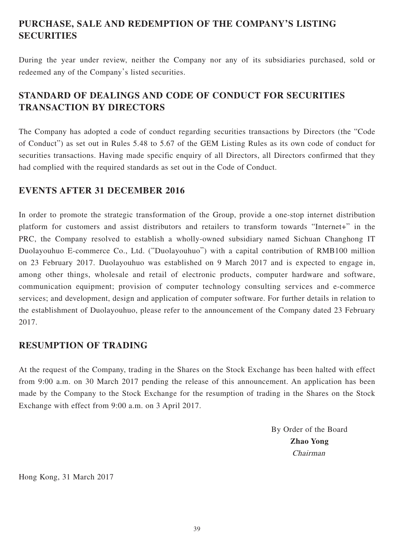# **PURCHASE, SALE AND REDEMPTION OF THE COMPANY'S LISTING SECURITIES**

During the year under review, neither the Company nor any of its subsidiaries purchased, sold or redeemed any of the Company's listed securities.

# **STANDARD OF DEALINGS AND CODE OF CONDUCT FOR SECURITIES TRANSACTION BY DIRECTORS**

The Company has adopted a code of conduct regarding securities transactions by Directors (the "Code of Conduct") as set out in Rules 5.48 to 5.67 of the GEM Listing Rules as its own code of conduct for securities transactions. Having made specific enquiry of all Directors, all Directors confirmed that they had complied with the required standards as set out in the Code of Conduct.

## **EVENTS AFTER 31 DECEMBER 2016**

In order to promote the strategic transformation of the Group, provide a one-stop internet distribution platform for customers and assist distributors and retailers to transform towards "Internet+" in the PRC, the Company resolved to establish a wholly-owned subsidiary named Sichuan Changhong IT Duolayouhuo E-commerce Co., Ltd. ("Duolayouhuo") with a capital contribution of RMB100 million on 23 February 2017. Duolayouhuo was established on 9 March 2017 and is expected to engage in, among other things, wholesale and retail of electronic products, computer hardware and software, communication equipment; provision of computer technology consulting services and e-commerce services; and development, design and application of computer software. For further details in relation to the establishment of Duolayouhuo, please refer to the announcement of the Company dated 23 February 2017.

## **RESUMPTION OF TRADING**

At the request of the Company, trading in the Shares on the Stock Exchange has been halted with effect from 9:00 a.m. on 30 March 2017 pending the release of this announcement. An application has been made by the Company to the Stock Exchange for the resumption of trading in the Shares on the Stock Exchange with effect from 9:00 a.m. on 3 April 2017.

> By Order of the Board **Zhao Yong** Chairman

Hong Kong, 31 March 2017